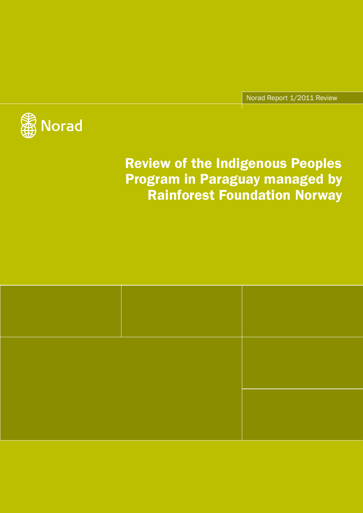Norad Report 1/2011 Review



# Review of the Indigenous Peoples Program in Paraguay managed by Rainforest Foundation Norway

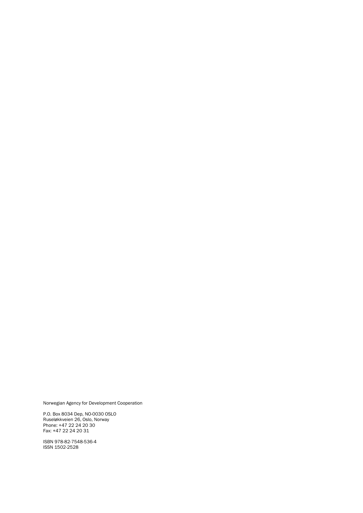Norwegian Agency for Development Cooperation

P.O. Box 8034 Dep, NO-0030 OSLO Ruseløkkveien 26, Oslo, Norway Phone: +47 22 24 20 30 Fax: +47 22 24 20 31

ISBN 978-82-7548-536-4 ISSN 1502-2528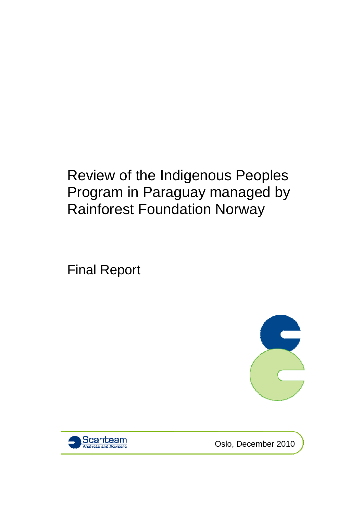# Review of the Indigenous Peoples Program in Paraguay managed by Rainforest Foundation Norway

Final Report





Oslo, December 2010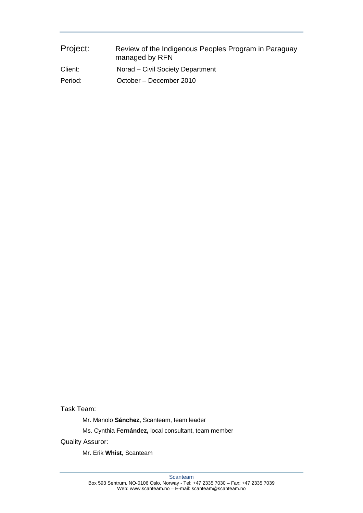| Project: | Review of the Indigenous Peoples Program in Paraguay<br>managed by RFN |
|----------|------------------------------------------------------------------------|
| Client:  | Norad – Civil Society Department                                       |
| Period:  | October - December 2010                                                |

Task Team:

Mr. Manolo **Sánchez**, Scanteam, team leader

Ms. Cynthia **Fernández,** local consultant, team member

Quality Assuror:

Mr. Erik **Whist**, Scanteam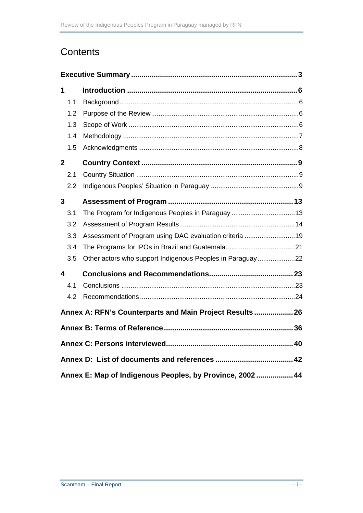# **Contents**

| 1                       |                                                           |  |
|-------------------------|-----------------------------------------------------------|--|
| 1.1                     |                                                           |  |
| 1.2                     |                                                           |  |
| 1.3                     |                                                           |  |
| 1.4                     |                                                           |  |
| 1.5                     |                                                           |  |
| $\overline{2}$          |                                                           |  |
| 2.1                     |                                                           |  |
| 2.2                     |                                                           |  |
| 3                       |                                                           |  |
| 3.1                     | The Program for Indigenous Peoples in Paraguay 13         |  |
| 3.2                     |                                                           |  |
| 3.3                     | Assessment of Program using DAC evaluation criteria 19    |  |
| 3.4                     |                                                           |  |
| 3.5                     | Other actors who support Indigenous Peoples in Paraguay22 |  |
| $\overline{\mathbf{4}}$ |                                                           |  |
| 4.1                     |                                                           |  |
| 4.2                     |                                                           |  |
|                         | Annex A: RFN's Counterparts and Main Project Results 26   |  |
|                         |                                                           |  |
|                         |                                                           |  |
|                         |                                                           |  |
|                         | Annex E: Map of Indigenous Peoples, by Province, 2002  44 |  |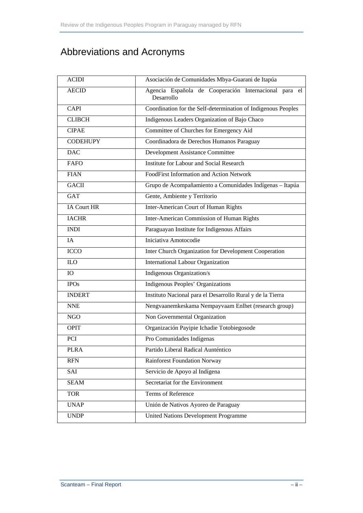# Abbreviations and Acronyms

| <b>ACIDI</b>    | Asociación de Comunidades Mbya-Guarani de Itapúa                    |  |
|-----------------|---------------------------------------------------------------------|--|
| <b>AECID</b>    | Agencia Española de Cooperación Internacional para el<br>Desarrollo |  |
| <b>CAPI</b>     | Coordination for the Self-determination of Indigenous Peoples       |  |
| <b>CLIBCH</b>   | Indigenous Leaders Organization of Bajo Chaco                       |  |
| <b>CIPAE</b>    | Committee of Churches for Emergency Aid                             |  |
| <b>CODEHUPY</b> | Coordinadora de Derechos Humanos Paraguay                           |  |
| <b>DAC</b>      | Development Assistance Committee                                    |  |
| <b>FAFO</b>     | Institute for Labour and Social Research                            |  |
| <b>FIAN</b>     | FoodFirst Information and Action Network                            |  |
| <b>GACII</b>    | Grupo de Acompañamiento a Comunidades Indígenas - Itapúa            |  |
| <b>GAT</b>      | Gente, Ambiente y Territorio                                        |  |
| IA Court HR     | Inter-American Court of Human Rights                                |  |
| <b>IACHR</b>    | Inter-American Commission of Human Rights                           |  |
| <b>INDI</b>     | Paraguayan Institute for Indigenous Affairs                         |  |
| IA              | Iniciativa Amotocodie                                               |  |
| <b>ICCO</b>     | Inter Church Organization for Development Cooperation               |  |
| <b>ILO</b>      | International Labour Organization                                   |  |
| <b>IO</b>       | Indigenous Organization/s                                           |  |
| <b>IPOs</b>     | Indigenous Peoples' Organizations                                   |  |
| <b>INDERT</b>   | Instituto Nacional para el Desarrollo Rural y de la Tierra          |  |
| <b>NNE</b>      | Nengvaanemkeskama Nempayvaam Enlhet (research group)                |  |
| <b>NGO</b>      | Non Governmental Organization                                       |  |
| <b>OPIT</b>     | Organización Payipie Ichadie Totobiegosode                          |  |
| PCI             | Pro Comunidades Indígenas                                           |  |
| <b>PLRA</b>     | Partido Liberal Radical Aunténtico                                  |  |
| <b>RFN</b>      | Rainforest Foundation Norway                                        |  |
| SAI             | Servicio de Apoyo al Indígena                                       |  |
| <b>SEAM</b>     | Secretariat for the Environment                                     |  |
| <b>TOR</b>      | Terms of Reference                                                  |  |
| <b>UNAP</b>     | Unión de Nativos Ayoreo de Paraguay                                 |  |
| <b>UNDP</b>     | <b>United Nations Development Programme</b>                         |  |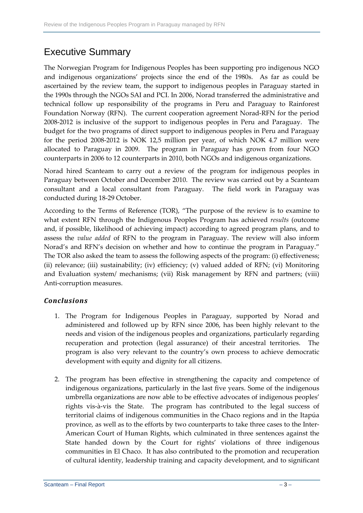# Executive Summary

The Norwegian Program for Indigenous Peoples has been supporting pro indigenous NGO and indigenous organizations' projects since the end of the 1980s. As far as could be ascertained by the review team, the support to indigenous peoples in Paraguay started in the 1990s through the NGOs SAI and PCI. In 2006, Norad transferred the administrative and technical follow up responsibility of the programs in Peru and Paraguay to Rainforest Foundation Norway (RFN). The current cooperation agreement Norad‐RFN for the period 2008‐2012 is inclusive of the support to indigenous peoples in Peru and Paraguay. The budget for the two programs of direct support to indigenous peoples in Peru and Paraguay for the period 2008‐2012 is NOK 12,5 million per year, of which NOK 4.7 million were allocated to Paraguay in 2009. The program in Paraguay has grown from four NGO counterparts in 2006 to 12 counterparts in 2010, both NGOs and indigenous organizations.

Norad hired Scanteam to carry out a review of the program for indigenous peoples in Paraguay between October and December 2010. The review was carried out by a Scanteam consultant and a local consultant from Paraguay. The field work in Paraguay was conducted during 18‐29 October.

According to the Terms of Reference (TOR), "The purpose of the review is to examine to what extent RFN through the Indigenous Peoples Program has achieved *results* (outcome and, if possible, likelihood of achieving impact) according to agreed program plans, and to assess the *value added* of RFN to the program in Paraguay. The review will also inform Norad's and RFN's decision on whether and how to continue the program in Paraguay." The TOR also asked the team to assess the following aspects of the program: (i) effectiveness; (ii) relevance; (iii) sustainability; (iv) efficiency; (v) valued added of RFN; (vi) Monitoring and Evaluation system/ mechanisms; (vii) Risk management by RFN and partners; (viii) Anti‐corruption measures.

### *Conclusions*

- 1. The Program for Indigenous Peoples in Paraguay, supported by Norad and administered and followed up by RFN since 2006, has been highly relevant to the needs and vision of the indigenous peoples and organizations, particularly regarding recuperation and protection (legal assurance) of their ancestral territories. The program is also very relevant to the country's own process to achieve democratic development with equity and dignity for all citizens.
- 2. The program has been effective in strengthening the capacity and competence of indigenous organizations, particularly in the last five years. Some of the indigenous umbrella organizations are now able to be effective advocates of indigenous peoples' rights vis-à-vis the State. The program has contributed to the legal success of territorial claims of indigenous communities in the Chaco regions and in the Itapúa province, as well as to the efforts by two counterparts to take three cases to the Inter‐ American Court of Human Rights, which culminated in three sentences against the State handed down by the Court for rights' violations of three indigenous communities in El Chaco. It has also contributed to the promotion and recuperation of cultural identity, leadership training and capacity development, and to significant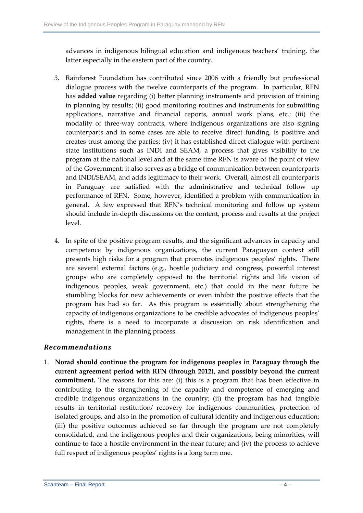advances in indigenous bilingual education and indigenous teachers' training, the latter especially in the eastern part of the country.

- *3.* Rainforest Foundation has contributed since 2006 with a friendly but professional dialogue process with the twelve counterparts of the program. In particular, RFN has **added value** regarding (i) better planning instruments and provision of training in planning by results; (ii) good monitoring routines and instruments for submitting applications, narrative and financial reports, annual work plans, etc.; (iii) the modality of three‐way contracts, where indigenous organizations are also signing counterparts and in some cases are able to receive direct funding, is positive and creates trust among the parties; (iv) it has established direct dialogue with pertinent state institutions such as INDI and SEAM, a process that gives visibility to the program at the national level and at the same time RFN is aware of the point of view of the Government; it also serves as a bridge of communication between counterparts and INDI/SEAM, and adds legitimacy to their work. Overall, almost all counterparts in Paraguay are satisfied with the administrative and technical follow up performance of RFN. Some, however, identified a problem with communication in general. A few expressed that RFN's technical monitoring and follow up system should include in‐depth discussions on the content, process and results at the project level*.*
- 4. In spite of the positive program results, and the significant advances in capacity and competence by indigenous organizations, the current Paraguayan context still presents high risks for a program that promotes indigenous peoples' rights. There are several external factors (e.g., hostile judiciary and congress, powerful interest groups who are completely opposed to the territorial rights and life vision of indigenous peoples, weak government, etc.) that could in the near future be stumbling blocks for new achievements or even inhibit the positive effects that the program has had so far. As this program is essentially about strengthening the capacity of indigenous organizations to be credible advocates of indigenous peoples' rights, there is a need to incorporate a discussion on risk identification and management in the planning process.

#### *Recommendations*

1. **Norad should continue the program for indigenous peoples in Paraguay through the current agreement period with RFN (through 2012), and possibly beyond the current commitment.** The reasons for this are: (i) this is a program that has been effective in contributing to the strengthening of the capacity and competence of emerging and credible indigenous organizations in the country; (ii) the program has had tangible results in territorial restitution/ recovery for indigenous communities, protection of isolated groups, and also in the promotion of cultural identity and indigenous education; (iii) the positive outcomes achieved so far through the program are not completely consolidated, and the indigenous peoples and their organizations, being minorities, will continue to face a hostile environment in the near future; and (iv) the process to achieve full respect of indigenous peoples' rights is a long term one.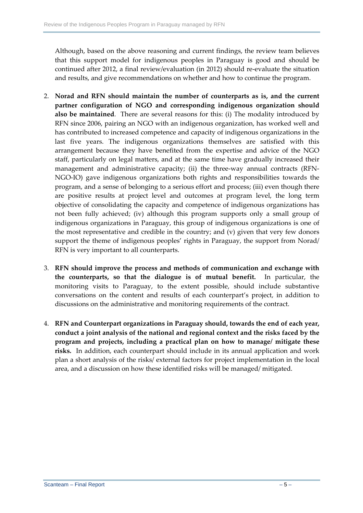Although, based on the above reasoning and current findings, the review team believes that this support model for indigenous peoples in Paraguay is good and should be continued after 2012, a final review/evaluation (in 2012) should re-evaluate the situation and results, and give recommendations on whether and how to continue the program.

- 2. **Norad and RFN should maintain the number of counterparts as is, and the current partner configuration of NGO and corresponding indigenous organization should also be maintained**. There are several reasons for this: (i) The modality introduced by RFN since 2006, pairing an NGO with an indigenous organization, has worked well and has contributed to increased competence and capacity of indigenous organizations in the last five years. The indigenous organizations themselves are satisfied with this arrangement because they have benefited from the expertise and advice of the NGO staff, particularly on legal matters, and at the same time have gradually increased their management and administrative capacity; (ii) the three-way annual contracts (RFN-NGO‐IO) gave indigenous organizations both rights and responsibilities towards the program, and a sense of belonging to a serious effort and process; (iii) even though there are positive results at project level and outcomes at program level, the long term objective of consolidating the capacity and competence of indigenous organizations has not been fully achieved; (iv) although this program supports only a small group of indigenous organizations in Paraguay, this group of indigenous organizations is one of the most representative and credible in the country; and (v) given that very few donors support the theme of indigenous peoples' rights in Paraguay, the support from Norad/ RFN is very important to all counterparts.
- 3. **RFN should improve the process and methods of communication and exchange with the counterparts, so that the dialogue is of mutual benefit.** In particular, the monitoring visits to Paraguay, to the extent possible, should include substantive conversations on the content and results of each counterpart's project, in addition to discussions on the administrative and monitoring requirements of the contract.
- 4. **RFN and Counterpart organizations in Paraguay should, towards the end of each year, conduct a joint analysis of the national and regional context and the risks faced by the program and projects, including a practical plan on how to manage/ mitigate these risks.** In addition, each counterpart should include in its annual application and work plan a short analysis of the risks/ external factors for project implementation in the local area, and a discussion on how these identified risks will be managed/ mitigated.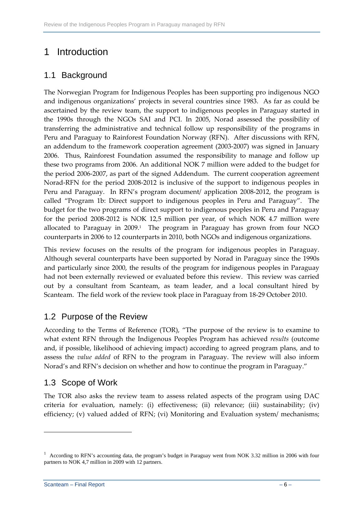# 1 Introduction

# 1.1 Background

The Norwegian Program for Indigenous Peoples has been supporting pro indigenous NGO and indigenous organizations' projects in several countries since 1983. As far as could be ascertained by the review team, the support to indigenous peoples in Paraguay started in the 1990s through the NGOs SAI and PCI. In 2005, Norad assessed the possibility of transferring the administrative and technical follow up responsibility of the programs in Peru and Paraguay to Rainforest Foundation Norway (RFN). After discussions with RFN, an addendum to the framework cooperation agreement (2003‐2007) was signed in January 2006. Thus, Rainforest Foundation assumed the responsibility to manage and follow up these two programs from 2006. An additional NOK 7 million were added to the budget for the period 2006‐2007, as part of the signed Addendum. The current cooperation agreement Norad‐RFN for the period 2008‐2012 is inclusive of the support to indigenous peoples in Peru and Paraguay. In RFN's program document/ application 2008‐2012, the program is called "Program 1b: Direct support to indigenous peoples in Peru and Paraguay". The budget for the two programs of direct support to indigenous peoples in Peru and Paraguay for the period 2008‐2012 is NOK 12,5 million per year, of which NOK 4.7 million were allocated to Paraguay in 2009.<sup>1</sup> The program in Paraguay has grown from four NGO counterparts in 2006 to 12 counterparts in 2010, both NGOs and indigenous organizations.

This review focuses on the results of the program for indigenous peoples in Paraguay. Although several counterparts have been supported by Norad in Paraguay since the 1990s and particularly since 2000, the results of the program for indigenous peoples in Paraguay had not been externally reviewed or evaluated before this review. This review was carried out by a consultant from Scanteam, as team leader, and a local consultant hired by Scanteam. The field work of the review took place in Paraguay from 18‐29 October 2010.

# 1.2 Purpose of the Review

According to the Terms of Reference (TOR), "The purpose of the review is to examine to what extent RFN through the Indigenous Peoples Program has achieved *results* (outcome and, if possible, likelihood of achieving impact) according to agreed program plans, and to assess the *value added* of RFN to the program in Paraguay. The review will also inform Norad's and RFN's decision on whether and how to continue the program in Paraguay."

### 1.3 Scope of Work

<u> 1989 - Johann Barn, mars eta bainar eta politikaria (h. 1989).</u>

The TOR also asks the review team to assess related aspects of the program using DAC criteria for evaluation, namely: (i) effectiveness; (ii) relevance; (iii) sustainability; (iv) efficiency; (v) valued added of RFN; (vi) Monitoring and Evaluation system/ mechanisms;

<sup>&</sup>lt;sup>1</sup> According to RFN's accounting data, the program's budget in Paraguay went from NOK 3.32 million in 2006 with four partners to NOK 4,7 million in 2009 with 12 partners.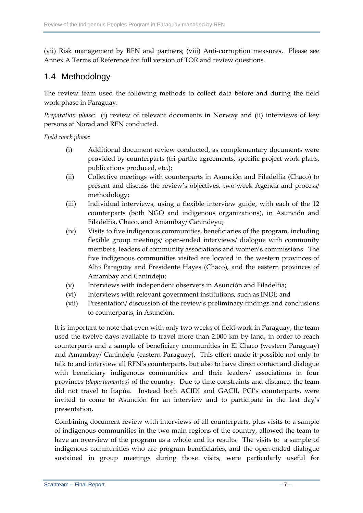(vii) Risk management by RFN and partners; (viii) Anti‐corruption measures. Please see Annex A Terms of Reference for full version of TOR and review questions.

### 1.4 Methodology

The review team used the following methods to collect data before and during the field work phase in Paraguay.

*Preparation phase*: (i) review of relevant documents in Norway and (ii) interviews of key persons at Norad and RFN conducted.

*Field work phase*:

- (i) Additional document review conducted, as complementary documents were provided by counterparts (tri-partite agreements, specific project work plans, publications produced, etc.);
- (ii) Collective meetings with counterparts in Asunción and Filadelfia (Chaco) to present and discuss the review's objectives, two-week Agenda and process/ methodology;
- (iii) Individual interviews, using a flexible interview guide, with each of the 12 counterparts (both NGO and indigenous organizations), in Asunción and Filadelfia, Chaco, and Amambay/ Canindeyu;
- (iv) Visits to five indigenous communities, beneficiaries of the program, including flexible group meetings/ open-ended interviews/ dialogue with community members, leaders of community associations and women's commissions. The five indigenous communities visited are located in the western provinces of Alto Paraguay and Presidente Hayes (Chaco), and the eastern provinces of Amambay and Canindeju;
- (v) Interviews with independent observers in Asunción and Filadelfia;
- (vi) Interviews with relevant government institutions, such as INDI; and
- (vii) Presentation/ discussion of the review's preliminary findings and conclusions to counterparts, in Asunción.

It is important to note that even with only two weeks of field work in Paraguay, the team used the twelve days available to travel more than 2.000 km by land, in order to reach counterparts and a sample of beneficiary communities in El Chaco (western Paraguay) and Amambay/ Canindeju (eastern Paraguay). This effort made it possible not only to talk to and interview all RFN's counterparts, but also to have direct contact and dialogue with beneficiary indigenous communities and their leaders/ associations in four provinces (*departamentos)* of the country. Due to time constraints and distance, the team did not travel to Itapúa. Instead both ACIDI and GACII, PCI's counterparts, were invited to come to Asunción for an interview and to participate in the last day's presentation.

Combining document review with interviews of all counterparts, plus visits to a sample of indigenous communities in the two main regions of the country, allowed the team to have an overview of the program as a whole and its results. The visits to a sample of indigenous communities who are program beneficiaries, and the open-ended dialogue sustained in group meetings during those visits, were particularly useful for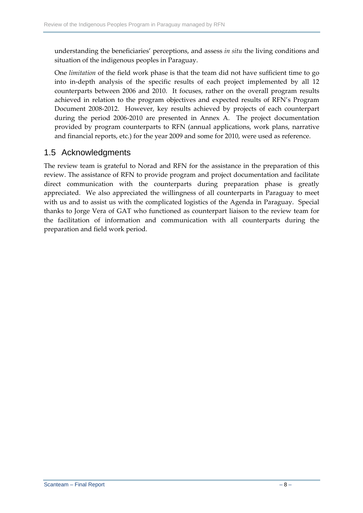understanding the beneficiaries' perceptions, and assess *in situ* the living conditions and situation of the indigenous peoples in Paraguay.

One *limitation* of the field work phase is that the team did not have sufficient time to go into in‐depth analysis of the specific results of each project implemented by all 12 counterparts between 2006 and 2010. It focuses, rather on the overall program results achieved in relation to the program objectives and expected results of RFN's Program Document 2008-2012. However, key results achieved by projects of each counterpart during the period 2006-2010 are presented in Annex A. The project documentation provided by program counterparts to RFN (annual applications, work plans, narrative and financial reports, etc.) for the year 2009 and some for 2010, were used as reference.

### 1.5 Acknowledgments

The review team is grateful to Norad and RFN for the assistance in the preparation of this review. The assistance of RFN to provide program and project documentation and facilitate direct communication with the counterparts during preparation phase is greatly appreciated. We also appreciated the willingness of all counterparts in Paraguay to meet with us and to assist us with the complicated logistics of the Agenda in Paraguay. Special thanks to Jorge Vera of GAT who functioned as counterpart liaison to the review team for the facilitation of information and communication with all counterparts during the preparation and field work period.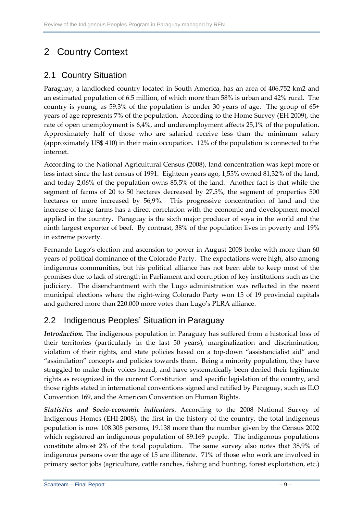# 2 Country Context

# 2.1 Country Situation

Paraguay, a landlocked country located in South America, has an area of 406.752 km2 and an estimated population of 6.5 million, of which more than 58% is urban and 42% rural. The country is young, as 59.3% of the population is under 30 years of age. The group of 65+ years of age represents 7% of the population. According to the Home Survey (EH 2009), the rate of open unemployment is 6,4%, and underemployment affects 25,1% of the population. Approximately half of those who are salaried receive less than the minimum salary (approximately US\$ 410) in their main occupation. 12% of the population is connected to the internet.

According to the National Agricultural Census (2008), land concentration was kept more or less intact since the last census of 1991. Eighteen years ago, 1,55% owned 81,32% of the land, and today 2,06% of the population owns 85,5% of the land. Another fact is that while the segment of farms of 20 to 50 hectares decreased by 27,5%, the segment of properties 500 hectares or more increased by 56,9%. This progressive concentration of land and the increase of large farms has a direct correlation with the economic and development model applied in the country. Paraguay is the sixth major producer of soya in the world and the ninth largest exporter of beef. By contrast, 38% of the population lives in poverty and 19% in extreme poverty.

Fernando Lugo's election and ascension to power in August 2008 broke with more than 60 years of political dominance of the Colorado Party. The expectations were high, also among indigenous communities, but his political alliance has not been able to keep most of the promises due to lack of strength in Parliament and corruption of key institutions such as the judiciary. The disenchantment with the Lugo administration was reflected in the recent municipal elections where the right‐wing Colorado Party won 15 of 19 provincial capitals and gathered more than 220.000 more votes than Lugo's PLRA alliance.

# 2.2 Indigenous Peoples' Situation in Paraguay

*Introduction.* The indigenous population in Paraguay has suffered from a historical loss of their territories (particularly in the last 50 years), marginalization and discrimination, violation of their rights, and state policies based on a top-down "assistancialist aid" and "assimilation" concepts and policies towards them. Being a minority population, they have struggled to make their voices heard, and have systematically been denied their legitimate rights as recognized in the current Constitution and specific legislation of the country, and those rights stated in international conventions signed and ratified by Paraguay, such as ILO Convention 169, and the American Convention on Human Rights.

*Statistics and Socio‐economic indicators.* According to the 2008 National Survey of Indigenous Homes (EHI‐2008), the first in the history of the country, the total indigenous population is now 108.308 persons, 19.138 more than the number given by the Census 2002 which registered an indigenous population of 89.169 people. The indigenous populations constitute almost 2% of the total population. The same survey also notes that 38,9% of indigenous persons over the age of 15 are illiterate. 71% of those who work are involved in primary sector jobs (agriculture, cattle ranches, fishing and hunting, forest exploitation, etc.)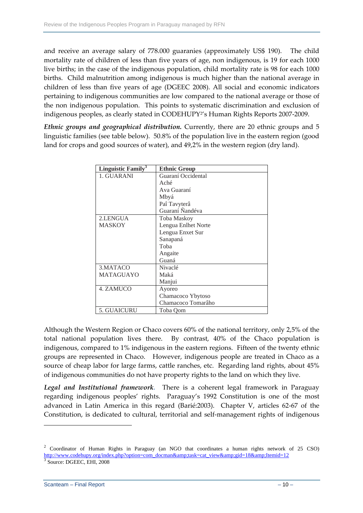and receive an average salary of 778.000 guaranies (approximately US\$ 190). The child mortality rate of children of less than five years of age, non indigenous, is 19 for each 1000 live births; in the case of the indigenous population, child mortality rate is 98 for each 1000 births. Child malnutrition among indigenous is much higher than the national average in children of less than five years of age (DGEEC 2008). All social and economic indicators pertaining to indigenous communities are low compared to the national average or those of the non indigenous population. This points to systematic discrimination and exclusion of indigenous peoples, as clearly stated in CODEHUPY2's Human Rights Reports 2007‐2009.

*Ethnic groups and geographical distribution.* Currently, there are 20 ethnic groups and 5 linguistic families (see table below). 50.8% of the population live in the eastern region (good land for crops and good sources of water), and 49,2% in the western region (dry land).

| Linguistic Family <sup>3</sup> | <b>Ethnic Group</b> |
|--------------------------------|---------------------|
| 1. GUARANI                     | Guaraní Occidental  |
|                                | Aché                |
|                                | Ava Guaraní         |
|                                | Mbyá                |
|                                | Paî Tavyterâ        |
|                                | Guaraní Ñandéva     |
| 2.LENGUA                       | Toba Maskoy         |
| <b>MASKOY</b>                  | Lengua Enlhet Norte |
|                                | Lengua Enxet Sur    |
|                                | Sanapaná            |
|                                | Toba                |
|                                | Angaite             |
|                                | Guaná               |
| 3. MATACO                      | Nivaclé             |
| <b>MATAGUAYO</b>               | Maká                |
|                                | Manjui              |
| 4. ZAMUCO                      | Ayoreo              |
|                                | Chamacoco Ybytoso   |
|                                | Chamacoco Tomarâho  |
| 5. GUAICURU                    | Toba Qom            |

Although the Western Region or Chaco covers 60% of the national territory, only 2,5% of the total national population lives there. By contrast, 40% of the Chaco population is indigenous, compared to 1% indigenous in the eastern regions. Fifteen of the twenty ethnic groups are represented in Chaco. However, indigenous people are treated in Chaco as a source of cheap labor for large farms, cattle ranches, etc. Regarding land rights, about 45% of indigenous communities do not have property rights to the land on which they live.

Legal and Institutional framework. There is a coherent legal framework in Paraguay regarding indigenous peoples' rights. Paraguay's 1992 Constitution is one of the most advanced in Latin America in this regard (Barié:2003). Chapter V, articles 62‐67 of the Constitution, is dedicated to cultural, territorial and self‐management rights of indigenous

<u> 1989 - Johann Barn, mars ar breithinn ar chuid ann an t-</u>

<sup>2</sup> Coordinator of Human Rights in Paraguay (an NGO that coordinates a human rights network of 25 CSO) http://www.codehupy.org/index.php?option=com\_docman&task=cat\_view&gid=18&Itemid=12 3 Source: DGEEC, EHI, 2008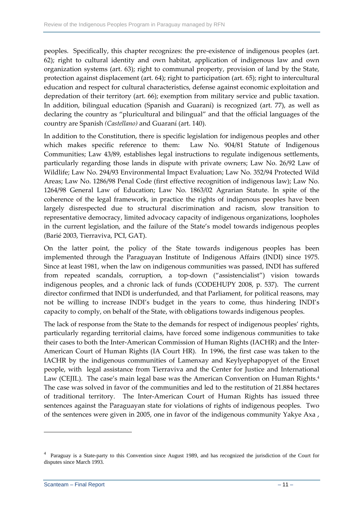peoples. Specifically, this chapter recognizes: the pre‐existence of indigenous peoples (art. 62); right to cultural identity and own habitat, application of indigenous law and own organization systems (art. 63); right to communal property, provision of land by the State, protection against displacement (art. 64); right to participation (art. 65); right to intercultural education and respect for cultural characteristics, defense against economic exploitation and depredation of their territory (art. 66); exemption from military service and public taxation. In addition, bilingual education (Spanish and Guaraní) is recognized (art. 77), as well as declaring the country as "pluricultural and bilingual" and that the official languages of the country are Spanish *(Castellano)* and Guaraní (art. 140).

In addition to the Constitution, there is specific legislation for indigenous peoples and other which makes specific reference to them: Law No. 904/81 Statute of Indigenous Communities; Law 43/89, establishes legal instructions to regulate indigenous settlements, particularly regarding those lands in dispute with private owners; Law No. 26/92 Law of Wildlife; Law No. 294/93 Environmental Impact Evaluation; Law No. 352/94 Protected Wild Areas; Law No. 1286/98 Penal Code (first effective recognition of indigenous law); Law No. 1264/98 General Law of Education; Law No. 1863/02 Agrarian Statute. In spite of the coherence of the legal framework, in practice the rights of indigenous peoples have been largely disrespected due to structural discrimination and racism, slow transition to representative democracy, limited advocacy capacity of indigenous organizations, loopholes in the current legislation, and the failure of the State's model towards indigenous peoples (Barié 2003, Tierraviva, PCI, GAT).

On the latter point, the policy of the State towards indigenous peoples has been implemented through the Paraguayan Institute of Indigenous Affairs (INDI) since 1975. Since at least 1981, when the law on indigenous communities was passed, INDI has suffered from repeated scandals, corruption, a top-down ("assistencialist") vision towards indigenous peoples, and a chronic lack of funds (CODEHUPY 2008, p. 537). The current director confirmed that INDI is underfunded, and that Parliament, for political reasons, may not be willing to increase INDI's budget in the years to come, thus hindering INDI's capacity to comply, on behalf of the State, with obligations towards indigenous peoples.

The lack of response from the State to the demands for respect of indigenous peoples' rights, particularly regarding territorial claims, have forced some indigenous communities to take their cases to both the Inter‐American Commission of Human Rights (IACHR) and the Inter‐ American Court of Human Rights (IA Court HR). In 1996, the first case was taken to the IACHR by the indigenous communities of Lamenxay and Keylyephapopyet of the Enxet people, with legal assistance from Tierraviva and the Center for Justice and International Law (CEJIL). The case's main legal base was the American Convention on Human Rights.<sup>4</sup> The case was solved in favor of the communities and led to the restitution of 21.884 hectares of traditional territory. The Inter‐American Court of Human Rights has issued three sentences against the Paraguayan state for violations of rights of indigenous peoples. Two of the sentences were given in 2005, one in favor of the indigenous community Yakye Axa ,

<sup>&</sup>lt;sup>4</sup> Paraguay is a State-party to this Convention since August 1989, and has recognized the jurisdiction of the Court for disputes since March 1993.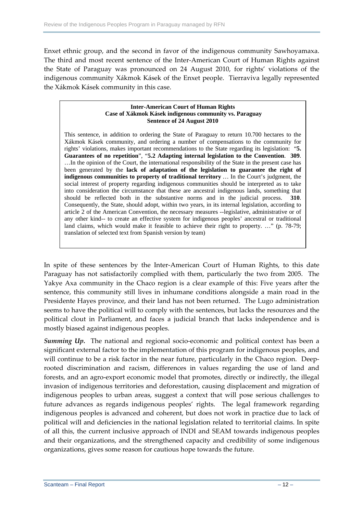Enxet ethnic group, and the second in favor of the indigenous community Sawhoyamaxa. The third and most recent sentence of the Inter‐American Court of Human Rights against the State of Paraguay was pronounced on 24 August 2010, for rights' violations of the indigenous community Xákmok Kásek of the Enxet people. Tierraviva legally represented the Xákmok Kásek community in this case.

#### **Inter-American Court of Human Rights Case of Xákmok Kásek indigenous community vs. Paraguay Sentence of 24 August 2010**

This sentence, in addition to ordering the State of Paraguay to return 10.700 hectares to the Xákmok Kásek community, and ordering a number of compensations to the community for rights' violations, makes important recommendations to the State regarding its legislation: "**5. Guarantees of no repetition**", "**5.2 Adapting internal legislation to the Convention**. **309**. …In the opinion of the Court, the international responsibility of the State in the present case has been generated by the **lack of adaptation of the legislation to guarantee the right of indigenous communities to property of traditional territory** *…* In the Court's judgment, the social interest of property regarding indigenous communities should be interpreted as to take into consideration the circumstance that these are ancestral indigenous lands, something that should be reflected both in the substantive norms and in the judicial process. **310**. Consequently, the State, should adopt, within two years, in its internal legislation, according to article 2 of the American Convention, the necessary measures --legislative, administrative or of any other kind-- to create an effective system for indigenous peoples' ancestral or traditional land claims, which would make it feasible to achieve their right to property. ..." (p. 78-79; translation of selected text from Spanish version by team)

In spite of these sentences by the Inter‐American Court of Human Rights, to this date Paraguay has not satisfactorily complied with them, particularly the two from 2005. The Yakye Axa community in the Chaco region is a clear example of this: Five years after the sentence, this community still lives in inhumane conditions alongside a main road in the Presidente Hayes province, and their land has not been returned. The Lugo administration seems to have the political will to comply with the sentences, but lacks the resources and the political clout in Parliament, and faces a judicial branch that lacks independence and is mostly biased against indigenous peoples.

*Summing Up.* The national and regional socio-economic and political context has been a significant external factor to the implementation of this program for indigenous peoples, and will continue to be a risk factor in the near future, particularly in the Chaco region. Deeprooted discrimination and racism, differences in values regarding the use of land and forests, and an agro‐export economic model that promotes, directly or indirectly, the illegal invasion of indigenous territories and deforestation, causing displacement and migration of indigenous peoples to urban areas, suggest a context that will pose serious challenges to future advances as regards indigenous peoples' rights. The legal framework regarding indigenous peoples is advanced and coherent, but does not work in practice due to lack of political will and deficiencies in the national legislation related to territorial claims. In spite of all this, the current inclusive approach of INDI and SEAM towards indigenous peoples and their organizations, and the strengthened capacity and credibility of some indigenous organizations, gives some reason for cautious hope towards the future.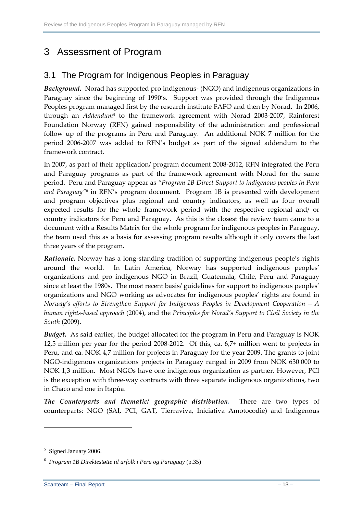# 3 Assessment of Program

### 3.1 The Program for Indigenous Peoples in Paraguay

*Background.* Norad has supported pro indigenous- (NGO) and indigenous organizations in Paraguay since the beginning of 1990's. Support was provided through the Indigenous Peoples program managed first by the research institute FAFO and then by Norad. In 2006, through an *Addendum5* to the framework agreement with Norad 2003‐2007, Rainforest Foundation Norway (RFN) gained responsibility of the administration and professional follow up of the programs in Peru and Paraguay. An additional NOK 7 million for the period 2006‐2007 was added to RFN's budget as part of the signed addendum to the framework contract.

In 2007, as part of their application/ program document 2008‐2012, RFN integrated the Peru and Paraguay programs as part of the framework agreement with Norad for the same period. Peru and Paraguay appear as *"Program 1B Direct Support to indigenous peoples in Peru and Paraguay"*<sup>6</sup> in RFN's program document. Program 1B is presented with development and program objectives plus regional and country indicators, as well as four overall expected results for the whole framework period with the respective regional and/ or country indicators for Peru and Paraguay. As this is the closest the review team came to a document with a Results Matrix for the whole program for indigenous peoples in Paraguay, the team used this as a basis for assessing program results although it only covers the last three years of the program.

*Rationale.* Norway has a long‐standing tradition of supporting indigenous people's rights around the world. In Latin America, Norway has supported indigenous peoples' organizations and pro indigenous NGO in Brazil, Guatemala, Chile, Peru and Paraguay since at least the 1980s. The most recent basis/ guidelines for support to indigenous peoples' organizations and NGO working as advocates for indigenous peoples' rights are found in *Norway's efforts to Strengthen Support for Indigenous Peoples in Development Cooperation – A human rights‐based approach* (2004), and the *Principles for Norad's Support to Civil Society in the South* (2009).

*Budget.* As said earlier, the budget allocated for the program in Peru and Paraguay is NOK 12,5 million per year for the period 2008‐2012. Of this, ca. 6,7+ million went to projects in Peru, and ca. NOK 4,7 million for projects in Paraguay for the year 2009. The grants to joint NGO‐indigenous organizations projects in Paraguay ranged in 2009 from NOK 630 000 to NOK 1,3 million. Most NGOs have one indigenous organization as partner. However, PCI is the exception with three‐way contracts with three separate indigenous organizations, two in Chaco and one in Itapúa.

*The Counterparts and thematic/ geographic distribution.*  There are two types of counterparts: NGO (SAI, PCI, GAT, Tierraviva, Iniciativa Amotocodie) and Indigenous

<sup>&</sup>lt;sup>5</sup> Signed January 2006.

<sup>6</sup> *Program 1B Direktestøtte til urfolk i Peru og Paraguay* (p.35)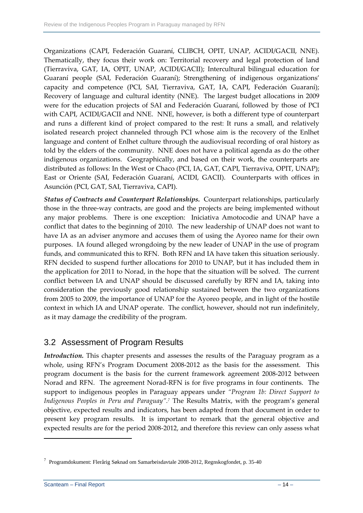Organizations (CAPI, Federación Guaraní, CLIBCH, OPIT, UNAP, ACIDI/GACII, NNE). Thematically, they focus their work on: Territorial recovery and legal protection of land (Tierraviva, GAT, IA, OPIT, UNAP, ACIDI/GACII); Intercultural bilingual education for Guaraní people (SAI, Federación Guaraní); Strengthening of indigenous organizations' capacity and competence (PCI, SAI, Tierraviva, GAT, IA, CAPI, Federación Guaraní); Recovery of language and cultural identity (NNE). The largest budget allocations in 2009 were for the education projects of SAI and Federación Guaraní, followed by those of PCI with CAPI, ACIDI/GACII and NNE. NNE, however, is both a different type of counterpart and runs a different kind of project compared to the rest: It runs a small, and relatively isolated research project channeled through PCI whose aim is the recovery of the Enlhet language and content of Enlhet culture through the audiovisual recording of oral history as told by the elders of the community. NNE does not have a political agenda as do the other indigenous organizations. Geographically, and based on their work, the counterparts are distributed as follows: In the West or Chaco (PCI, IA, GAT, CAPI, Tierraviva, OPIT, UNAP); East or Oriente (SAI, Federación Guaraní, ACIDI, GACII). Counterparts with offices in Asunción (PCI, GAT, SAI, Tierraviva, CAPI).

*Status of Contracts and Counterpart Relationships.* Counterpart relationships, particularly those in the three‐way contracts, are good and the projects are being implemented without any major problems. There is one exception: Iniciativa Amotocodie and UNAP have a conflict that dates to the beginning of 2010. The new leadership of UNAP does not want to have IA as an adviser anymore and accuses them of using the Ayoreo name for their own purposes. IA found alleged wrongdoing by the new leader of UNAP in the use of program funds, and communicated this to RFN. Both RFN and IA have taken this situation seriously. RFN decided to suspend further allocations for 2010 to UNAP, but it has included them in the application for 2011 to Norad, in the hope that the situation will be solved. The current conflict between IA and UNAP should be discussed carefully by RFN and IA, taking into consideration the previously good relationship sustained between the two organizations from 2005 to 2009, the importance of UNAP for the Ayoreo people, and in light of the hostile context in which IA and UNAP operate. The conflict, however, should not run indefinitely, as it may damage the credibility of the program.

### 3.2 Assessment of Program Results

*Introduction.* This chapter presents and assesses the results of the Paraguay program as a whole, using RFN's Program Document 2008-2012 as the basis for the assessment. This program document is the basis for the current framework agreement 2008‐2012 between Norad and RFN. The agreement Norad‐RFN is for five programs in four continents. The support to indigenous peoples in Paraguay appears under *"Program 1b: Direct Support to Indigenous Peoples in Peru and Paraguay".7* The Results Matrix, with the program's general objective, expected results and indicators, has been adapted from that document in order to present key program results. It is important to remark that the general objective and expected results are for the period 2008‐2012, and therefore this review can only assess what

<sup>7</sup> Programdokument: Flerårig Søknad om Samarbeisdavtale 2008-2012, Regnskogfondet, p. 35-40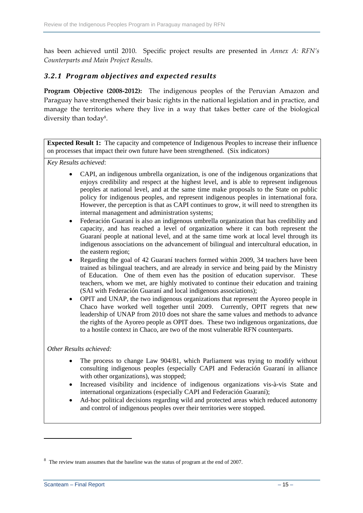has been achieved until 2010. Specific project results are presented in *Annex A: RFN's Counterparts and Main Project Results*.

#### *3.2.1 Program objectives and expected results*

**Program Objective (2008-2012):** The indigenous peoples of the Peruvian Amazon and Paraguay have strengthened their basic rights in the national legislation and in practice, and manage the territories where they live in a way that takes better care of the biological diversity than today<sup>8</sup>.

**Expected Result 1:** The capacity and competence of Indigenous Peoples to increase their influence on processes that impact their own future have been strengthened. (Six indicators)

*Key Results achieved*:

- CAPI, an indigenous umbrella organization, is one of the indigenous organizations that enjoys credibility and respect at the highest level, and is able to represent indigenous peoples at national level, and at the same time make proposals to the State on public policy for indigenous peoples, and represent indigenous peoples in international fora. However, the perception is that as CAPI continues to grow, it will need to strengthen its internal management and administration systems;
- Federación Guaraní is also an indigenous umbrella organization that has credibility and capacity, and has reached a level of organization where it can both represent the Guaraní people at national level, and at the same time work at local level through its indigenous associations on the advancement of bilingual and intercultural education, in the eastern region;
- Regarding the goal of 42 Guaraní teachers formed within 2009, 34 teachers have been trained as bilingual teachers, and are already in service and being paid by the Ministry of Education. One of them even has the position of education supervisor. These teachers, whom we met, are highly motivated to continue their education and training (SAI with Federación Guaraní and local indigenous associations);
- OPIT and UNAP, the two indigenous organizations that represent the Ayoreo people in Chaco have worked well together until 2009. Currently, OPIT regrets that new leadership of UNAP from 2010 does not share the same values and methods to advance the rights of the Ayoreo people as OPIT does. These two indigenous organizations, due to a hostile context in Chaco, are two of the most vulnerable RFN counterparts.

*Other Results achieved:* 

- The process to change Law 904/81, which Parliament was trying to modify without consulting indigenous peoples (especially CAPI and Federación Guaraní in alliance with other organizations), was stopped;
- Increased visibility and incidence of indigenous organizations vis-à-vis State and international organizations (especially CAPI and Federación Guaraní);
- Ad-hoc political decisions regarding wild and protected areas which reduced autonomy and control of indigenous peoples over their territories were stopped.

 $8\text{ }$  The review team assumes that the baseline was the status of program at the end of 2007.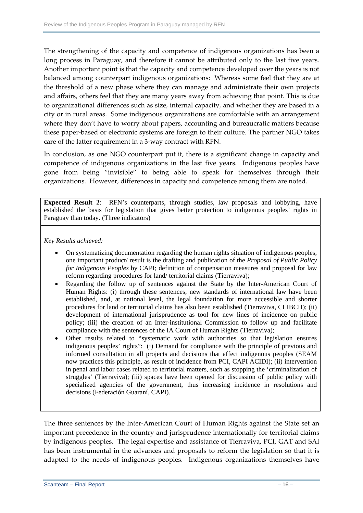The strengthening of the capacity and competence of indigenous organizations has been a long process in Paraguay, and therefore it cannot be attributed only to the last five years. Another important point is that the capacity and competence developed over the years is not balanced among counterpart indigenous organizations: Whereas some feel that they are at the threshold of a new phase where they can manage and administrate their own projects and affairs, others feel that they are many years away from achieving that point. This is due to organizational differences such as size, internal capacity, and whether they are based in a city or in rural areas. Some indigenous organizations are comfortable with an arrangement where they don't have to worry about papers, accounting and bureaucratic matters because these paper-based or electronic systems are foreign to their culture. The partner NGO takes care of the latter requirement in a 3‐way contract with RFN.

In conclusion, as one NGO counterpart put it, there is a significant change in capacity and competence of indigenous organizations in the last five years. Indigenous peoples have gone from being "invisible" to being able to speak for themselves through their organizations. However, differences in capacity and competence among them are noted.

**Expected Result 2**: RFN's counterparts, through studies, law proposals and lobbying, have established the basis for legislation that gives better protection to indigenous peoples' rights in Paraguay than today. (Three indicators)

*Key Results achieved:* 

- On systematizing documentation regarding the human rights situation of indigenous peoples, one important product/ result is the drafting and publication of the *Proposal of Public Policy for Indigenous Peoples* by CAPI; definition of compensation measures and proposal for law reform regarding procedures for land/ territorial claims (Tierraviva);
- Regarding the follow up of sentences against the State by the Inter-American Court of Human Rights: (i) through these sentences, new standards of international law have been established, and, at national level, the legal foundation for more accessible and shorter procedures for land or territorial claims has also been established (Tierraviva, CLIBCH); (ii) development of international jurisprudence as tool for new lines of incidence on public policy; (iii) the creation of an Inter-institutional Commission to follow up and facilitate compliance with the sentences of the IA Court of Human Rights (Tierraviva);
- Other results related to "systematic work with authorities so that legislation ensures indigenous peoples' rights": (i) Demand for compliance with the principle of previous and informed consultation in all projects and decisions that affect indigenous peoples (SEAM now practices this principle, as result of incidence from PCI, CAPI ACIDI); (ii) intervention in penal and labor cases related to territorial matters, such as stopping the 'criminalization of struggles' (Tierraviva); (iii) spaces have been opened for discussion of public policy with specialized agencies of the government, thus increasing incidence in resolutions and decisions (Federación Guaraní, CAPI).

The three sentences by the Inter‐American Court of Human Rights against the State set an important precedence in the country and jurisprudence internationally for territorial claims by indigenous peoples. The legal expertise and assistance of Tierraviva, PCI, GAT and SAI has been instrumental in the advances and proposals to reform the legislation so that it is adapted to the needs of indigenous peoples. Indigenous organizations themselves have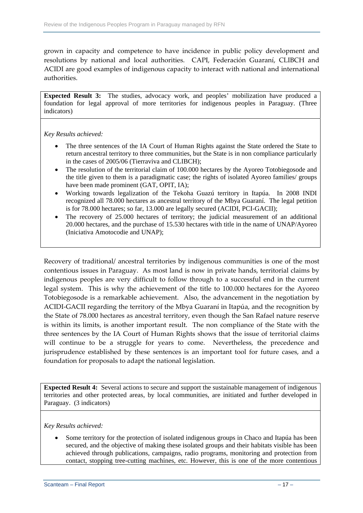grown in capacity and competence to have incidence in public policy development and resolutions by national and local authorities. CAPI, Federación Guaraní, CLIBCH and ACIDI are good examples of indigenous capacity to interact with national and international authorities.

**Expected Result 3:** The studies, advocacy work, and peoples' mobilization have produced a foundation for legal approval of more territories for indigenous peoples in Paraguay. (Three indicators)

*Key Results achieved:* 

- The three sentences of the IA Court of Human Rights against the State ordered the State to return ancestral territory to three communities, but the State is in non compliance particularly in the cases of 2005/06 (Tierraviva and CLIBCH);
- The resolution of the territorial claim of 100.000 hectares by the Ayoreo Totobiegosode and the title given to them is a paradigmatic case; the rights of isolated Ayoreo families/ groups have been made prominent (GAT, OPIT, IA);
- Working towards legalization of the Tekoha Guazú territory in Itapúa. In 2008 INDI recognized all 78.000 hectares as ancestral territory of the Mbya Guaraní. The legal petition is for 78.000 hectares; so far, 13.000 are legally secured (ACIDI, PCI-GACII);
- The recovery of 25.000 hectares of territory; the judicial measurement of an additional 20.000 hectares, and the purchase of 15.530 hectares with title in the name of UNAP/Ayoreo (Iniciativa Amotocodie and UNAP);

Recovery of traditional/ ancestral territories by indigenous communities is one of the most contentious issues in Paraguay. As most land is now in private hands, territorial claims by indigenous peoples are very difficult to follow through to a successful end in the current legal system. This is why the achievement of the title to 100.000 hectares for the Ayoreo Totobiegosode is a remarkable achievement. Also, the advancement in the negotiation by ACIDI‐GACII regarding the territory of the Mbya Guaraní in Itapúa, and the recognition by the State of 78.000 hectares as ancestral territory, even though the San Rafael nature reserve is within its limits, is another important result. The non compliance of the State with the three sentences by the IA Court of Human Rights shows that the issue of territorial claims will continue to be a struggle for years to come. Nevertheless, the precedence and jurisprudence established by these sentences is an important tool for future cases, and a foundation for proposals to adapt the national legislation.

**Expected Result 4:** Several actions to secure and support the sustainable management of indigenous territories and other protected areas, by local communities, are initiated and further developed in Paraguay. (3 indicators)

#### *Key Results achieved:*

 Some territory for the protection of isolated indigenous groups in Chaco and Itapúa has been secured, and the objective of making these isolated groups and their habitats visible has been achieved through publications, campaigns, radio programs, monitoring and protection from contact, stopping tree-cutting machines, etc. However, this is one of the more contentious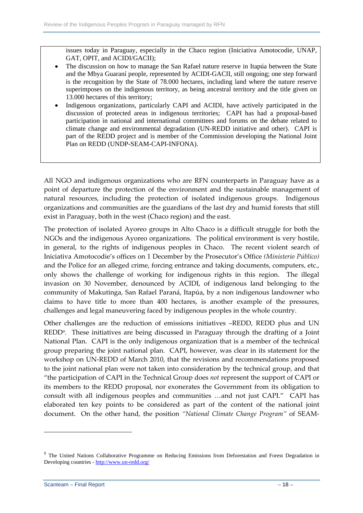issues today in Paraguay, especially in the Chaco region (Iniciativa Amotocodie, UNAP, GAT, OPIT, and ACIDI/GACII);

- The discussion on how to manage the San Rafael nature reserve in Itapúa between the State and the Mbya Guaraní people, represented by ACIDI-GACII, still ongoing; one step forward is the recognition by the State of 78.000 hectares, including land where the nature reserve superimposes on the indigenous territory, as being ancestral territory and the title given on 13.000 hectares of this territory;
- Indigenous organizations, particularly CAPI and ACIDI, have actively participated in the discussion of protected areas in indigenous territories; CAPI has had a proposal-based participation in national and international committees and forums on the debate related to climate change and environmental degradation (UN-REDD initiative and other). CAPI is part of the REDD project and is member of the Commission developing the National Joint Plan on REDD (UNDP-SEAM-CAPI-INFONA).

All NGO and indigenous organizations who are RFN counterparts in Paraguay have as a point of departure the protection of the environment and the sustainable management of natural resources, including the protection of isolated indigenous groups. Indigenous organizations and communities are the guardians of the last dry and humid forests that still exist in Paraguay, both in the west (Chaco region) and the east.

The protection of isolated Ayoreo groups in Alto Chaco is a difficult struggle for both the NGOs and the indigenous Ayoreo organizations. The political environment is very hostile, in general, to the rights of indigenous peoples in Chaco. The recent violent search of Iniciativa Amotocodie's offices on 1 December by the Prosecutor's Office *(Ministerio Público)* and the Police for an alleged crime, forcing entrance and taking documents, computers, etc., only shows the challenge of working for indigenous rights in this region. The illegal invasion on 30 November, denounced by ACIDI, of indigenous land belonging to the community of Makutinga, San Rafael Paraná, Itapúa, by a non indigenous landowner who claims to have title to more than 400 hectares, is another example of the pressures, challenges and legal maneuvering faced by indigenous peoples in the whole country.

Other challenges are the reduction of emissions initiatives –REDD, REDD plus and UN REDD9. These initiatives are being discussed in Paraguay through the drafting of a Joint National Plan. CAPI is the only indigenous organization that is a member of the technical group preparing the joint national plan. CAPI, however, was clear in its statement for the workshop on UN‐REDD of March 2010, that the revisions and recommendations proposed to the joint national plan were not taken into consideration by the technical group, and that "the participation of CAPI in the Technical Group does *not* represent the support of CAPI or its members to the REDD proposal, nor exonerates the Government from its obligation to consult with all indigenous peoples and communities ... and not just CAPI." CAPI has elaborated ten key points to be considered as part of the content of the national joint document. On the other hand, the position *"National Climate Change Program"* of SEAM‐

<sup>&</sup>lt;sup>9</sup> The United Nations Collaborative Programme on Reducing Emissions from Deforestation and Forest Degradation in Developing countries - http://www.un-redd.org/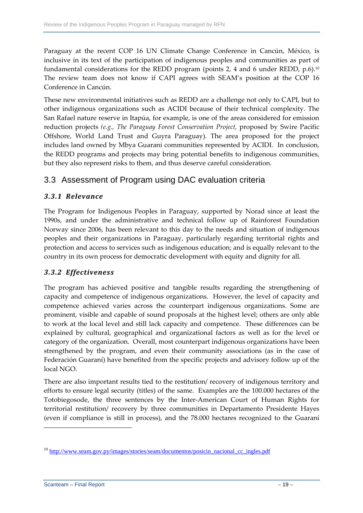Paraguay at the recent COP 16 UN Climate Change Conference in Cancún, México, is inclusive in its text of the participation of indigenous peoples and communities as part of fundamental considerations for the REDD program (points 2, 4 and 6 under REDD, p.6).10 The review team does not know if CAPI agrees with SEAM's position at the COP 16 Conference in Cancún.

These new environmental initiatives such as REDD are a challenge not only to CAPI, but to other indigenous organizations such as ACIDI because of their technical complexity. The San Rafael nature reserve in Itapúa, for example, is one of the areas considered for emission reduction projects *(e.g., The Paraguay Forest Conservation Project,* proposed by Swire Pacific Offshore, World Land Trust and Guyra Paraguay). The area proposed for the project includes land owned by Mbya Guarani communities represented by ACIDI. In conclusion, the REDD programs and projects may bring potential benefits to indigenous communities, but they also represent risks to them, and thus deserve careful consideration.

### 3.3 Assessment of Program using DAC evaluation criteria

#### *3.3.1 Relevance*

The Program for Indigenous Peoples in Paraguay, supported by Norad since at least the 1990s, and under the administrative and technical follow up of Rainforest Foundation Norway since 2006, has been relevant to this day to the needs and situation of indigenous peoples and their organizations in Paraguay, particularly regarding territorial rights and protection and access to services such as indigenous education; and is equally relevant to the country in its own process for democratic development with equity and dignity for all.

### *3.3.2 Effectiveness*

The program has achieved positive and tangible results regarding the strengthening of capacity and competence of indigenous organizations. However, the level of capacity and competence achieved varies across the counterpart indigenous organizations. Some are prominent, visible and capable of sound proposals at the highest level; others are only able to work at the local level and still lack capacity and competence. These differences can be explained by cultural, geographical and organizational factors as well as for the level or category of the organization. Overall, most counterpart indigenous organizations have been strengthened by the program, and even their community associations (as in the case of Federación Guaraní) have benefited from the specific projects and advisory follow up of the local NGO.

There are also important results tied to the restitution/ recovery of indigenous territory and efforts to ensure legal security (titles) of the same. Examples are the 100.000 hectares of the Totobiegosode, the three sentences by the Inter‐American Court of Human Rights for territorial restitution/ recovery by three communities in Departamento Presidente Hayes (even if compliance is still in process), and the 78.000 hectares recognized to the Guaraní

<sup>10</sup> http://www.seam.gov.py/images/stories/seam/documentos/posicin\_nacional\_cc\_ingles.pdf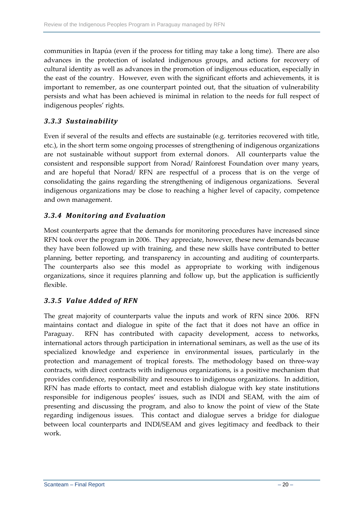communities in Itapúa (even if the process for titling may take a long time). There are also advances in the protection of isolated indigenous groups, and actions for recovery of cultural identity as well as advances in the promotion of indigenous education, especially in the east of the country. However, even with the significant efforts and achievements, it is important to remember, as one counterpart pointed out, that the situation of vulnerability persists and what has been achieved is minimal in relation to the needs for full respect of indigenous peoples' rights.

#### *3.3.3 Sustainability*

Even if several of the results and effects are sustainable (e.g. territories recovered with title, etc.), in the short term some ongoing processes of strengthening of indigenous organizations are not sustainable without support from external donors. All counterparts value the consistent and responsible support from Norad/ Rainforest Foundation over many years, and are hopeful that Norad/ RFN are respectful of a process that is on the verge of consolidating the gains regarding the strengthening of indigenous organizations. Several indigenous organizations may be close to reaching a higher level of capacity, competence and own management.

#### *3.3.4 Monitoring and Evaluation*

Most counterparts agree that the demands for monitoring procedures have increased since RFN took over the program in 2006. They appreciate, however, these new demands because they have been followed up with training, and these new skills have contributed to better planning, better reporting, and transparency in accounting and auditing of counterparts. The counterparts also see this model as appropriate to working with indigenous organizations, since it requires planning and follow up, but the application is sufficiently flexible.

### *3.3.5 Value Added of RFN*

The great majority of counterparts value the inputs and work of RFN since 2006. RFN maintains contact and dialogue in spite of the fact that it does not have an office in Paraguay. RFN has contributed with capacity development, access to networks, international actors through participation in international seminars, as well as the use of its specialized knowledge and experience in environmental issues, particularly in the protection and management of tropical forests. The methodology based on three-way contracts, with direct contracts with indigenous organizations, is a positive mechanism that provides confidence, responsibility and resources to indigenous organizations. In addition, RFN has made efforts to contact, meet and establish dialogue with key state institutions responsible for indigenous peoples' issues, such as INDI and SEAM, with the aim of presenting and discussing the program, and also to know the point of view of the State regarding indigenous issues. This contact and dialogue serves a bridge for dialogue between local counterparts and INDI/SEAM and gives legitimacy and feedback to their work.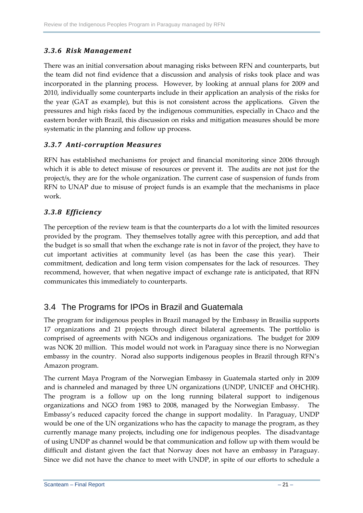#### *3.3.6 Risk Management*

There was an initial conversation about managing risks between RFN and counterparts, but the team did not find evidence that a discussion and analysis of risks took place and was incorporated in the planning process. However, by looking at annual plans for 2009 and 2010, individually some counterparts include in their application an analysis of the risks for the year (GAT as example), but this is not consistent across the applications. Given the pressures and high risks faced by the indigenous communities, especially in Chaco and the eastern border with Brazil, this discussion on risks and mitigation measures should be more systematic in the planning and follow up process.

#### *3.3.7 Anticorruption Measures*

RFN has established mechanisms for project and financial monitoring since 2006 through which it is able to detect misuse of resources or prevent it. The audits are not just for the project/s, they are for the whole organization. The current case of suspension of funds from RFN to UNAP due to misuse of project funds is an example that the mechanisms in place work.

#### *3.3.8 Efficiency*

The perception of the review team is that the counterparts do a lot with the limited resources provided by the program. They themselves totally agree with this perception, and add that the budget is so small that when the exchange rate is not in favor of the project, they have to cut important activities at community level (as has been the case this year). Their commitment, dedication and long term vision compensates for the lack of resources. They recommend, however, that when negative impact of exchange rate is anticipated, that RFN communicates this immediately to counterparts.

# 3.4 The Programs for IPOs in Brazil and Guatemala

The program for indigenous peoples in Brazil managed by the Embassy in Brasilia supports 17 organizations and 21 projects through direct bilateral agreements. The portfolio is comprised of agreements with NGOs and indigenous organizations. The budget for 2009 was NOK 20 million. This model would not work in Paraguay since there is no Norwegian embassy in the country. Norad also supports indigenous peoples in Brazil through RFN's Amazon program.

The current Maya Program of the Norwegian Embassy in Guatemala started only in 2009 and is channeled and managed by three UN organizations (UNDP, UNICEF and OHCHR). The program is a follow up on the long running bilateral support to indigenous organizations and NGO from 1983 to 2008, managed by the Norwegian Embassy. The Embassy's reduced capacity forced the change in support modality. In Paraguay, UNDP would be one of the UN organizations who has the capacity to manage the program, as they currently manage many projects, including one for indigenous peoples. The disadvantage of using UNDP as channel would be that communication and follow up with them would be difficult and distant given the fact that Norway does not have an embassy in Paraguay. Since we did not have the chance to meet with UNDP, in spite of our efforts to schedule a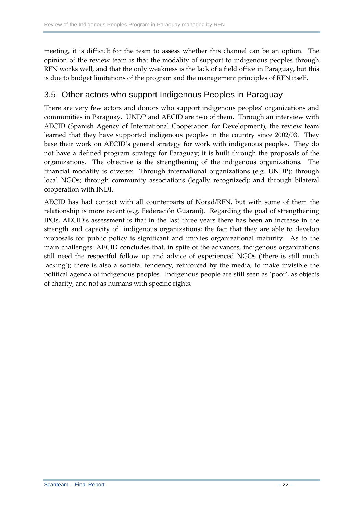meeting, it is difficult for the team to assess whether this channel can be an option. The opinion of the review team is that the modality of support to indigenous peoples through RFN works well, and that the only weakness is the lack of a field office in Paraguay, but this is due to budget limitations of the program and the management principles of RFN itself.

### 3.5 Other actors who support Indigenous Peoples in Paraguay

There are very few actors and donors who support indigenous peoples' organizations and communities in Paraguay. UNDP and AECID are two of them. Through an interview with AECID (Spanish Agency of International Cooperation for Development), the review team learned that they have supported indigenous peoples in the country since 2002/03. They base their work on AECID's general strategy for work with indigenous peoples. They do not have a defined program strategy for Paraguay; it is built through the proposals of the organizations. The objective is the strengthening of the indigenous organizations. The financial modality is diverse: Through international organizations (e.g. UNDP); through local NGOs; through community associations (legally recognized); and through bilateral cooperation with INDI.

AECID has had contact with all counterparts of Norad/RFN, but with some of them the relationship is more recent (e.g. Federación Guaraní). Regarding the goal of strengthening IPOs, AECID's assessment is that in the last three years there has been an increase in the strength and capacity of indigenous organizations; the fact that they are able to develop proposals for public policy is significant and implies organizational maturity. As to the main challenges: AECID concludes that, in spite of the advances, indigenous organizations still need the respectful follow up and advice of experienced NGOs ('there is still much lacking'); there is also a societal tendency, reinforced by the media, to make invisible the political agenda of indigenous peoples. Indigenous people are still seen as 'poor', as objects of charity, and not as humans with specific rights.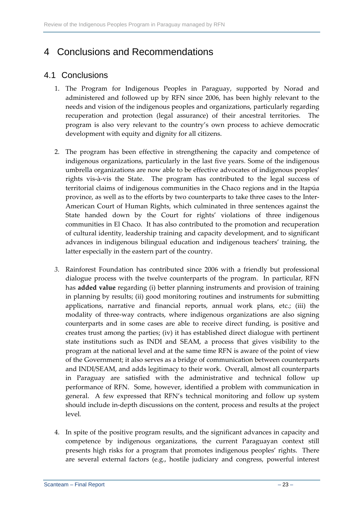# 4 Conclusions and Recommendations

# 4.1 Conclusions

- 1. The Program for Indigenous Peoples in Paraguay, supported by Norad and administered and followed up by RFN since 2006, has been highly relevant to the needs and vision of the indigenous peoples and organizations, particularly regarding recuperation and protection (legal assurance) of their ancestral territories. The program is also very relevant to the country's own process to achieve democratic development with equity and dignity for all citizens.
- 2. The program has been effective in strengthening the capacity and competence of indigenous organizations, particularly in the last five years. Some of the indigenous umbrella organizations are now able to be effective advocates of indigenous peoples' rights vis-à-vis the State. The program has contributed to the legal success of territorial claims of indigenous communities in the Chaco regions and in the Itapúa province, as well as to the efforts by two counterparts to take three cases to the Inter‐ American Court of Human Rights, which culminated in three sentences against the State handed down by the Court for rights' violations of three indigenous communities in El Chaco. It has also contributed to the promotion and recuperation of cultural identity, leadership training and capacity development, and to significant advances in indigenous bilingual education and indigenous teachers' training, the latter especially in the eastern part of the country.
- *3.* Rainforest Foundation has contributed since 2006 with a friendly but professional dialogue process with the twelve counterparts of the program. In particular, RFN has **added value** regarding (i) better planning instruments and provision of training in planning by results; (ii) good monitoring routines and instruments for submitting applications, narrative and financial reports, annual work plans, etc.; (iii) the modality of three‐way contracts, where indigenous organizations are also signing counterparts and in some cases are able to receive direct funding, is positive and creates trust among the parties; (iv) it has established direct dialogue with pertinent state institutions such as INDI and SEAM, a process that gives visibility to the program at the national level and at the same time RFN is aware of the point of view of the Government; it also serves as a bridge of communication between counterparts and INDI/SEAM, and adds legitimacy to their work. Overall, almost all counterparts in Paraguay are satisfied with the administrative and technical follow up performance of RFN. Some, however, identified a problem with communication in general. A few expressed that RFN's technical monitoring and follow up system should include in‐depth discussions on the content, process and results at the project level*.*
- 4. In spite of the positive program results, and the significant advances in capacity and competence by indigenous organizations, the current Paraguayan context still presents high risks for a program that promotes indigenous peoples' rights. There are several external factors (e.g., hostile judiciary and congress, powerful interest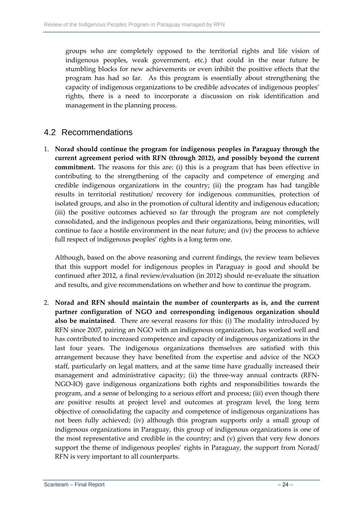groups who are completely opposed to the territorial rights and life vision of indigenous peoples, weak government, etc.) that could in the near future be stumbling blocks for new achievements or even inhibit the positive effects that the program has had so far. As this program is essentially about strengthening the capacity of indigenous organizations to be credible advocates of indigenous peoples' rights, there is a need to incorporate a discussion on risk identification and management in the planning process.

### 4.2 Recommendations

1. **Norad should continue the program for indigenous peoples in Paraguay through the current agreement period with RFN (through 2012), and possibly beyond the current commitment.** The reasons for this are: (i) this is a program that has been effective in contributing to the strengthening of the capacity and competence of emerging and credible indigenous organizations in the country; (ii) the program has had tangible results in territorial restitution/ recovery for indigenous communities, protection of isolated groups, and also in the promotion of cultural identity and indigenous education; (iii) the positive outcomes achieved so far through the program are not completely consolidated, and the indigenous peoples and their organizations, being minorities, will continue to face a hostile environment in the near future; and (iv) the process to achieve full respect of indigenous peoples' rights is a long term one.

Although, based on the above reasoning and current findings, the review team believes that this support model for indigenous peoples in Paraguay is good and should be continued after 2012, a final review/evaluation (in 2012) should re-evaluate the situation and results, and give recommendations on whether and how to continue the program.

2. **Norad and RFN should maintain the number of counterparts as is, and the current partner configuration of NGO and corresponding indigenous organization should also be maintained**. There are several reasons for this: (i) The modality introduced by RFN since 2007, pairing an NGO with an indigenous organization, has worked well and has contributed to increased competence and capacity of indigenous organizations in the last four years. The indigenous organizations themselves are satisfied with this arrangement because they have benefited from the expertise and advice of the NGO staff, particularly on legal matters, and at the same time have gradually increased their management and administrative capacity; (ii) the three-way annual contracts (RFN-NGO‐IO) gave indigenous organizations both rights and responsibilities towards the program, and a sense of belonging to a serious effort and process; (iii) even though there are positive results at project level and outcomes at program level, the long term objective of consolidating the capacity and competence of indigenous organizations has not been fully achieved; (iv) although this program supports only a small group of indigenous organizations in Paraguay, this group of indigenous organizations is one of the most representative and credible in the country; and (v) given that very few donors support the theme of indigenous peoples' rights in Paraguay, the support from Norad/ RFN is very important to all counterparts.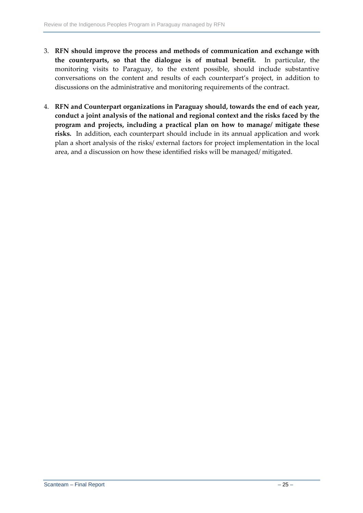- 3. **RFN should improve the process and methods of communication and exchange with the counterparts, so that the dialogue is of mutual benefit.** In particular, the monitoring visits to Paraguay, to the extent possible, should include substantive conversations on the content and results of each counterpart's project, in addition to discussions on the administrative and monitoring requirements of the contract.
- 4. **RFN and Counterpart organizations in Paraguay should, towards the end of each year, conduct a joint analysis of the national and regional context and the risks faced by the program and projects, including a practical plan on how to manage/ mitigate these risks.** In addition, each counterpart should include in its annual application and work plan a short analysis of the risks/ external factors for project implementation in the local area, and a discussion on how these identified risks will be managed/ mitigated.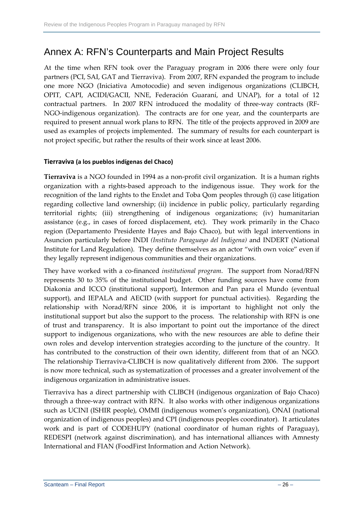# Annex A: RFN's Counterparts and Main Project Results

At the time when RFN took over the Paraguay program in 2006 there were only four partners (PCI, SAI, GAT and Tierraviva). From 2007, RFN expanded the program to include one more NGO (Iniciativa Amotocodie) and seven indigenous organizations (CLIBCH, OPIT, CAPI, ACIDI/GACII, NNE, Federación Guaraní, and UNAP), for a total of 12 contractual partners. In 2007 RFN introduced the modality of three-way contracts (RF-NGO-indigenous organization). The contracts are for one year, and the counterparts are required to present annual work plans to RFN. The title of the projects approved in 2009 are used as examples of projects implemented. The summary of results for each counterpart is not project specific, but rather the results of their work since at least 2006.

#### **Tierraviva (a los pueblos indígenas del Chaco)**

**Tierraviva** is a NGO founded in 1994 as a non‐profit civil organization. It is a human rights organization with a rights‐based approach to the indigenous issue. They work for the recognition of the land rights to the Enxlet and Toba Qom peoples through (i) case litigation regarding collective land ownership; (ii) incidence in public policy, particularly regarding territorial rights; (iii) strengthening of indigenous organizations; (iv) humanitarian assistance (e.g., in cases of forced displacement, etc). They work primarily in the Chaco region (Departamento Presidente Hayes and Bajo Chaco), but with legal interventions in Asuncion particularly before INDI *(Instituto Paraguayo del Indígena)* and INDERT (National Institute for Land Regulation). They define themselves as an actor "with own voice" even if they legally represent indigenous communities and their organizations.

They have worked with a co‐financed *institutional program*. The support from Norad/RFN represents 30 to 35% of the institutional budget. Other funding sources have come from Diakonia and ICCO (institutional support), Intermon and Pan para el Mundo (eventual support), and IEPALA and AECID (with support for punctual activities). Regarding the relationship with Norad/RFN since 2006, it is important to highlight not only the institutional support but also the support to the process. The relationship with RFN is one of trust and transparency. It is also important to point out the importance of the direct support to indigenous organizations, who with the new resources are able to define their own roles and develop intervention strategies according to the juncture of the country. It has contributed to the construction of their own identity, different from that of an NGO. The relationship Tierraviva‐CLIBCH is now qualitatively different from 2006. The support is now more technical, such as systematization of processes and a greater involvement of the indigenous organization in administrative issues.

Tierraviva has a direct partnership with CLIBCH (indigenous organization of Bajo Chaco) through a three‐way contract with RFN. It also works with other indigenous organizations such as UCINI (ISHIR people), OMMI (indigenous women's organization), ONAI (national organization of indigenous peoples) and CPI (indigenous peoples coordinator). It articulates work and is part of CODEHUPY (national coordinator of human rights of Paraguay), REDESPI (network against discrimination), and has international alliances with Amnesty International and FIAN (FoodFirst Information and Action Network).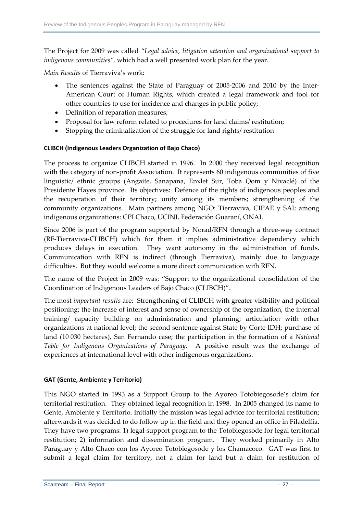The Project for 2009 was called "*Legal advice, litigation attention and organizational support to indigenous communities",* which had a well presented work plan for the year.

*Main Results* of Tierraviva's work:

- The sentences against the State of Paraguay of 2005‐2006 and 2010 by the Inter‐ American Court of Human Rights, which created a legal framework and tool for other countries to use for incidence and changes in public policy;
- Definition of reparation measures;
- Proposal for law reform related to procedures for land claims/ restitution;
- Stopping the criminalization of the struggle for land rights/ restitution

#### **CLIBCH (Indigenous Leaders Organization of Bajo Chaco)**

The process to organize CLIBCH started in 1996. In 2000 they received legal recognition with the category of non-profit Association. It represents 60 indigenous communities of five linguistic/ ethnic groups (Angaite, Sanapana, Enxlet Sur, Toba Qom y Nivaclé) of the Presidente Hayes province. Its objectives: Defence of the rights of indigenous peoples and the recuperation of their territory; unity among its members; strengthening of the community organizations. Main partners among NGO: Tierraviva, CIPAE y SAI; among indigenous organizations: CPI Chaco, UCINI, Federación Guaraní, ONAI.

Since 2006 is part of the program supported by Norad/RFN through a three‐way contract (RF‐Tierraviva‐CLIBCH) which for them it implies administrative dependency which produces delays in execution. They want autonomy in the administration of funds. Communication with RFN is indirect (through Tierraviva), mainly due to language difficulties. But they would welcome a more direct communication with RFN.

The name of the Project in 2009 was: "Support to the organizational consolidation of the Coordination of Indigenous Leaders of Bajo Chaco (CLIBCH)".

The most *important results* are: Strengthening of CLIBCH with greater visibility and political positioning; the increase of interest and sense of ownership of the organization, the internal training/ capacity building on administration and planning; articulation with other organizations at national level; the second sentence against State by Corte IDH; purchase of land (10 030 hectares), San Fernando case; the participation in the formation of a *National Table for Indigenous Organizations of Paraguay.* A positive result was the exchange of experiences at international level with other indigenous organizations.

#### **GAT (Gente, Ambiente y Territorio)**

This NGO started in 1993 as a Support Group to the Ayoreo Totobiegosode's claim for territorial restitution. They obtained legal recognition in 1998. In 2005 changed its name to Gente, Ambiente y Territorio. Initially the mission was legal advice for territorial restitution; afterwards it was decided to do follow up in the field and they opened an office in Filadelfia. They have two programs: 1) legal support program to the Totobiegosode for legal territorial restitution; 2) information and dissemination program. They worked primarily in Alto Paraguay y Alto Chaco con los Ayoreo Totobiegosode y los Chamacoco. GAT was first to submit a legal claim for territory, not a claim for land but a claim for restitution of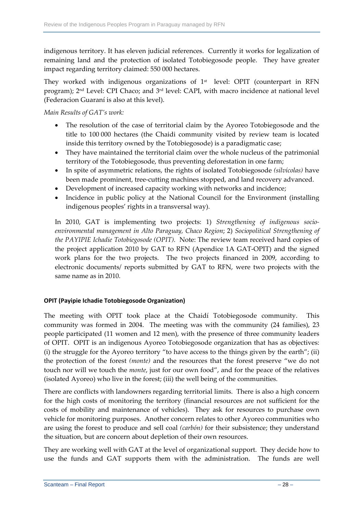indigenous territory. It has eleven judicial references. Currently it works for legalization of remaining land and the protection of isolated Totobiegosode people. They have greater impact regarding territory claimed: 550 000 hectares.

They worked with indigenous organizations of 1<sup>st</sup> level: OPIT (counterpart in RFN program); 2<sup>nd</sup> Level: CPI Chaco; and 3<sup>rd</sup> level: CAPI, with macro incidence at national level (Federacion Guaraní is also at this level).

*Main Results of GAT's work:*

- The resolution of the case of territorial claim by the Ayoreo Totobiegosode and the title to 100 000 hectares (the Chaidi community visited by review team is located inside this territory owned by the Totobiegosode) is a paradigmatic case;
- They have maintained the territorial claim over the whole nucleus of the patrimonial territory of the Totobiegosode, thus preventing deforestation in one farm;
- In spite of asymmetric relations, the rights of isolated Totobiegosode *(silvícolas)* have been made prominent, tree-cutting machines stopped, and land recovery advanced.
- Development of increased capacity working with networks and incidence;
- Incidence in public policy at the National Council for the Environment (installing indigenous peoples' rights in a transversal way).

In 2010, GAT is implementing two projects: 1) *Strengthening of indigenous socio‐ environmental management in Alto Paraguay, Chaco Region*; 2) *Sociopolitical Strengthening of the PAYIPIE Ichadie Totobiegosode (OPIT).* Note: The review team received hard copies of the project application 2010 by GAT to RFN (Apendice 1A GAT-OPIT) and the signed work plans for the two projects. The two projects financed in 2009, according to electronic documents/ reports submitted by GAT to RFN, were two projects with the same name as in 2010.

#### **OPIT (Payipie Ichadie Totobiegosode Organization)**

The meeting with OPIT took place at the Chaidí Totobiegosode community. This community was formed in 2004. The meeting was with the community (24 families), 23 people participated (11 women and 12 men), with the presence of three community leaders of OPIT. OPIT is an indigenous Ayoreo Totobiegosode organization that has as objectives: (i) the struggle for the Ayoreo territory "to have access to the things given by the earth"; (ii) the protection of the forest *(monte)* and the resources that the forest preserve "we do not touch nor will we touch the *monte*, just for our own food", and for the peace of the relatives (isolated Ayoreo) who live in the forest; (iii) the well being of the communities.

There are conflicts with landowners regarding territorial limits. There is also a high concern for the high costs of monitoring the territory (financial resources are not sufficient for the costs of mobility and maintenance of vehicles). They ask for resources to purchase own vehicle for monitoring purposes. Another concern relates to other Ayoreo communities who are using the forest to produce and sell coal *(carbón)* for their subsistence; they understand the situation, but are concern about depletion of their own resources.

They are working well with GAT at the level of organizational support. They decide how to use the funds and GAT supports them with the administration. The funds are well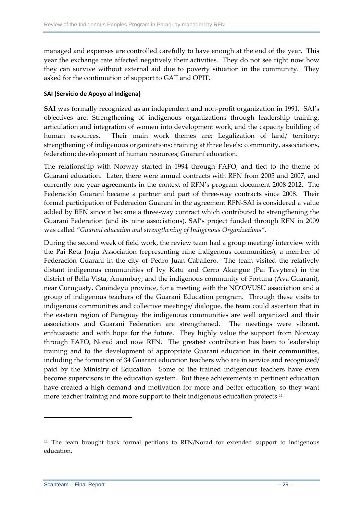managed and expenses are controlled carefully to have enough at the end of the year. This year the exchange rate affected negatively their activities. They do not see right now how they can survive without external aid due to poverty situation in the community. They asked for the continuation of support to GAT and OPIT.

#### **SAI (Servicio de Apoyo al Indígena)**

**SAI** was formally recognized as an independent and non‐profit organization in 1991. SAI's objectives are: Strengthening of indigenous organizations through leadership training, articulation and integration of women into development work, and the capacity building of human resources. Their main work themes are: Legalization of land/ territory; strengthening of indigenous organizations; training at three levels: community, associations, federation; development of human resources; Guaraní education.

The relationship with Norway started in 1994 through FAFO, and tied to the theme of Guarani education. Later, there were annual contracts with RFN from 2005 and 2007, and currently one year agreements in the context of RFN's program document 2008‐2012. The Federación Guaraní became a partner and part of three-way contracts since 2008. Their formal participation of Federación Guaraní in the agreement RFN‐SAI is considered a value added by RFN since it became a three‐way contract which contributed to strengthening the Guarani Federation (and its nine associations). SAI's project funded through RFN in 2009 was called *"Guarani education and strengthening of Indigenous Organizations".*

During the second week of field work, the review team had a group meeting/ interview with the Pai Reta Joaju Association (representing nine indigenous communities), a member of Federación Guaraní in the city of Pedro Juan Caballero. The team visited the relatively distant indigenous communities of Ivy Katu and Cerro Akangue (Pai Tavytera) in the district of Bella Vista, Amambay; and the indigenous community of Fortuna (Ava Guarani), near Curuguaty, Canindeyu province, for a meeting with the NO'OVUSU association and a group of indigenous teachers of the Guarani Education program. Through these visits to indigenous communities and collective meetings/ dialogue, the team could ascertain that in the eastern region of Paraguay the indigenous communities are well organized and their associations and Guarani Federation are strengthened. The meetings were vibrant, enthusiastic and with hope for the future. They highly value the support from Norway through FAFO, Norad and now RFN. The greatest contribution has been to leadership training and to the development of appropriate Guarani education in their communities, including the formation of 34 Guarani education teachers who are in service and recognized/ paid by the Ministry of Education. Some of the trained indigenous teachers have even become supervisors in the education system. But these achievements in pertinent education have created a high demand and motivation for more and better education, so they want more teacher training and more support to their indigenous education projects.<sup>11</sup>

<sup>&</sup>lt;sup>11</sup> The team brought back formal petitions to RFN/Norad for extended support to indigenous education.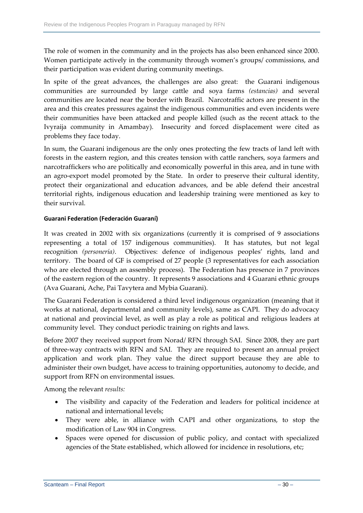The role of women in the community and in the projects has also been enhanced since 2000. Women participate actively in the community through women's groups/ commissions, and their participation was evident during community meetings.

In spite of the great advances, the challenges are also great: the Guarani indigenous communities are surrounded by large cattle and soya farms *(estancias)* and several communities are located near the border with Brazil. Narcotraffic actors are present in the area and this creates pressures against the indigenous communities and even incidents were their communities have been attacked and people killed (such as the recent attack to the Ivyraija community in Amambay). Insecurity and forced displacement were cited as problems they face today.

In sum, the Guarani indigenous are the only ones protecting the few tracts of land left with forests in the eastern region, and this creates tension with cattle ranchers, soya farmers and narcotraffickers who are politically and economically powerful in this area, and in tune with an agro‐export model promoted by the State. In order to preserve their cultural identity, protect their organizational and education advances, and be able defend their ancestral territorial rights, indigenous education and leadership training were mentioned as key to their survival.

#### **Guarani Federation (Federación Guaraní)**

It was created in 2002 with six organizations (currently it is comprised of 9 associations representing a total of 157 indigenous communities). It has statutes, but not legal recognition *(personería)*. Objectives: defence of indigenous peoples' rights, land and territory. The board of GF is comprised of 27 people (3 representatives for each association who are elected through an assembly process). The Federation has presence in 7 provinces of the eastern region of the country. It represents 9 associations and 4 Guarani ethnic groups (Ava Guarani, Ache, Pai Tavytera and Mybia Guarani).

The Guarani Federation is considered a third level indigenous organization (meaning that it works at national, departmental and community levels), same as CAPI. They do advocacy at national and provincial level, as well as play a role as political and religious leaders at community level. They conduct periodic training on rights and laws.

Before 2007 they received support from Norad/ RFN through SAI. Since 2008, they are part of three‐way contracts with RFN and SAI. They are required to present an annual project application and work plan. They value the direct support because they are able to administer their own budget, have access to training opportunities, autonomy to decide, and support from RFN on environmental issues.

Among the relevant *results:*

- The visibility and capacity of the Federation and leaders for political incidence at national and international levels;
- They were able, in alliance with CAPI and other organizations, to stop the modification of Law 904 in Congress.
- Spaces were opened for discussion of public policy, and contact with specialized agencies of the State established, which allowed for incidence in resolutions, etc;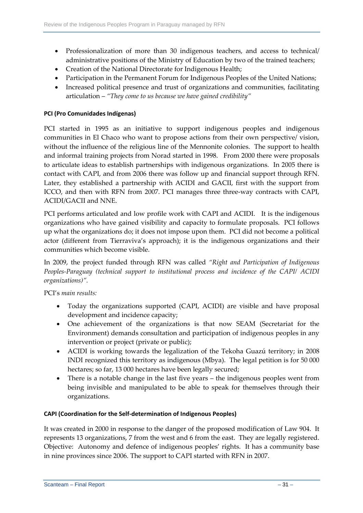- Professionalization of more than 30 indigenous teachers, and access to technical/ administrative positions of the Ministry of Education by two of the trained teachers;
- Creation of the National Directorate for Indigenous Health;
- Participation in the Permanent Forum for Indigenous Peoples of the United Nations;
- Increased political presence and trust of organizations and communities, facilitating articulation – *"They come to us because we have gained credibility"*

#### **PCI (Pro Comunidades Indígenas)**

PCI started in 1995 as an initiative to support indigenous peoples and indigenous communities in El Chaco who want to propose actions from their own perspective/ vision, without the influence of the religious line of the Mennonite colonies. The support to health and informal training projects from Norad started in 1998. From 2000 there were proposals to articulate ideas to establish partnerships with indigenous organizations. In 2005 there is contact with CAPI, and from 2006 there was follow up and financial support through RFN. Later, they established a partnership with ACIDI and GACII, first with the support from ICCO, and then with RFN from 2007. PCI manages three three‐way contracts with CAPI, ACIDI/GACII and NNE.

PCI performs articulated and low profile work with CAPI and ACIDI. It is the indigenous organizations who have gained visibility and capacity to formulate proposals. PCI follows up what the organizations do; it does not impose upon them. PCI did not become a political actor (different from Tierraviva's approach); it is the indigenous organizations and their communities which become visible.

In 2009, the project funded through RFN was called *"Right and Participation of Indigenous Peoples‐Paraguay (technical support to institutional process and incidence of the CAPI/ ACIDI organizations)".*

PCI's *main results:*

- Today the organizations supported (CAPI, ACIDI) are visible and have proposal development and incidence capacity;
- One achievement of the organizations is that now SEAM (Secretariat for the Environment) demands consultation and participation of indigenous peoples in any intervention or project (private or public);
- ACIDI is working towards the legalization of the Tekoha Guazú territory; in 2008 INDI recognized this territory as indigenous (Mbya). The legal petition is for 50 000 hectares; so far, 13 000 hectares have been legally secured;
- There is a notable change in the last five years the indigenous peoples went from being invisible and manipulated to be able to speak for themselves through their organizations.

#### **CAPI (Coordination for the Self‐determination of Indigenous Peoples)**

It was created in 2000 in response to the danger of the proposed modification of Law 904. It represents 13 organizations, 7 from the west and 6 from the east. They are legally registered. Objective: Autonomy and defence of indigenous peoples' rights. It has a community base in nine provinces since 2006. The support to CAPI started with RFN in 2007.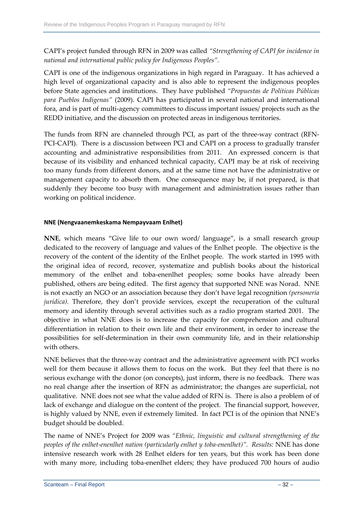CAPI's project funded through RFN in 2009 was called *"Strengthening of CAPI for incidence in national and international public policy for Indigenous Peoples".*

CAPI is one of the indigenous organizations in high regard in Paraguay. It has achieved a high level of organizational capacity and is also able to represent the indigenous peoples before State agencies and institutions. They have published *"Propuestas de Políticas Públicas para Pueblos Indígenas"* (2009). CAPI has participated in several national and international fora, and is part of multi-agency committees to discuss important issues/ projects such as the REDD initiative, and the discussion on protected areas in indigenous territories.

The funds from RFN are channeled through PCI, as part of the three-way contract (RFN-PCI-CAPI). There is a discussion between PCI and CAPI on a process to gradually transfer accounting and administrative responsibilities from 2011. An expressed concern is that because of its visibility and enhanced technical capacity, CAPI may be at risk of receiving too many funds from different donors, and at the same time not have the administrative or management capacity to absorb them. One consequence may be, if not prepared, is that suddenly they become too busy with management and administration issues rather than working on political incidence.

#### **NNE (Nengvaanemkeskama Nempayvaam Enlhet)**

**NNE**, which means "Give life to our own word/ language", is a small research group dedicated to the recovery of language and values of the Enlhet people. The objective is the recovery of the content of the identity of the Enlhet people. The work started in 1995 with the original idea of record, recover, systematize and publish books about the historical memmory of the enlhet and toba-enenlhet peoples; some books have already been published, others are being edited. The first agency that supported NNE was Norad. NNE is not exactly an NGO or an association because they don't have legal recognition *(personería jurídica*). Therefore, they don't provide services, except the recuperation of the cultural memory and identity through several activities such as a radio program started 2001. The objective in what NNE does is to increase the capacity for comprehension and cultural differentiation in relation to their own life and their environment, in order to increase the possibilities for self‐determination in their own community life, and in their relationship with others.

NNE believes that the three‐way contract and the administrative agreement with PCI works well for them because it allows them to focus on the work. But they feel that there is no serious exchange with the donor (on concepts), just inform, there is no feedback. There was no real change after the insertion of RFN as administrator; the changes are superficial, not qualitative. NNE does not see what the value added of RFN is. There is also a problem of of lack of exchange and dialogue on the content of the project. The financial support, however, is highly valued by NNE, even if extremely limited. In fact PCI is of the opinion that NNE's budget should be doubled.

The name of NNE's Project for 2009 was *"Ethnic, linguistic and cultural strengthening of the peoples of the enlhet‐enenlhet nation (particularly enlhet y toba‐enenlhet)". Results:* NNE has done intensive research work with 28 Enlhet elders for ten years, but this work has been done with many more, including toba-enenlhet elders; they have produced 700 hours of audio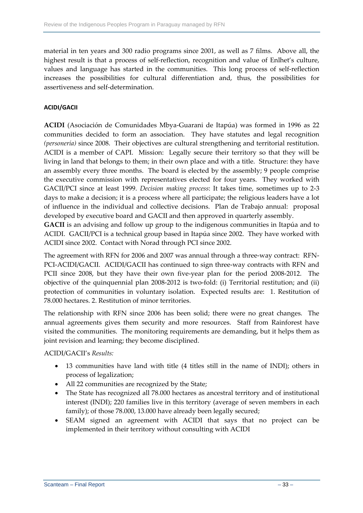material in ten years and 300 radio programs since 2001, as well as 7 films. Above all, the highest result is that a process of self-reflection, recognition and value of Enlhet's culture, values and language has started in the communities. This long process of self-reflection increases the possibilities for cultural differentiation and, thus, the possibilities for assertiveness and self‐determination.

#### **ACIDI/GACII**

**ACIDI** (Asociación de Comunidades Mbya‐Guarani de Itapúa) was formed in 1996 as 22 communities decided to form an association. They have statutes and legal recognition *(personería)* since 2008. Their objectives are cultural strengthening and territorial restitution. ACIDI is a member of CAPI. Mission: Legally secure their territory so that they will be living in land that belongs to them; in their own place and with a title. Structure: they have an assembly every three months. The board is elected by the assembly; 9 people comprise the executive commission with representatives elected for four years. They worked with GACII/PCI since at least 1999. *Decision making process*: It takes time, sometimes up to 2‐3 days to make a decision; it is a process where all participate; the religious leaders have a lot of influence in the individual and collective decisions. Plan de Trabajo annual: proposal developed by executive board and GACII and then approved in quarterly assembly.

**GACII** is an advising and follow up group to the indigenous communities in Itapúa and to ACIDI. GACII/PCI is a technical group based in Itapúa since 2002. They have worked with ACIDI since 2002. Contact with Norad through PCI since 2002.

The agreement with RFN for 2006 and 2007 was annual through a three-way contract: RFN-PCI‐ACIDI/GACII. ACIDI/GACII has continued to sign three‐way contracts with RFN and PCII since 2008, but they have their own five-year plan for the period 2008-2012. The objective of the quinquennial plan 2008‐2012 is two‐fold: (i) Territorial restitution; and (ii) protection of communities in voluntary isolation. Expected results are: 1. Restitution of 78.000 hectares. 2. Restitution of minor territories.

The relationship with RFN since 2006 has been solid; there were no great changes. The annual agreements gives them security and more resources. Staff from Rainforest have visited the communities. The monitoring requirements are demanding, but it helps them as joint revision and learning; they become disciplined.

ACIDI/GACII's *Results:*

- 13 communities have land with title (4 titles still in the name of INDI); others in process of legalization;
- All 22 communities are recognized by the State;
- The State has recognized all 78.000 hectares as ancestral territory and of institutional interest (INDI); 220 families live in this territory (average of seven members in each family); of those 78.000, 13.000 have already been legally secured;
- SEAM signed an agreement with ACIDI that says that no project can be implemented in their territory without consulting with ACIDI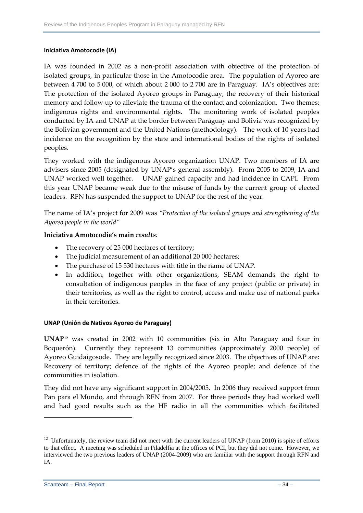#### **Iniciativa Amotocodie (IA)**

IA was founded in 2002 as a non‐profit association with objective of the protection of isolated groups, in particular those in the Amotocodie area. The population of Ayoreo are between 4 700 to 5 000, of which about 2 000 to 2 700 are in Paraguay. IA's objectives are: The protection of the isolated Ayoreo groups in Paraguay, the recovery of their historical memory and follow up to alleviate the trauma of the contact and colonization. Two themes: indigenous rights and environmental rights. The monitoring work of isolated peoples conducted by IA and UNAP at the border between Paraguay and Bolivia was recognized by the Bolivian government and the United Nations (methodology). The work of 10 years had incidence on the recognition by the state and international bodies of the rights of isolated peoples.

They worked with the indigenous Ayoreo organization UNAP. Two members of IA are advisers since 2005 (designated by UNAP's general assembly). From 2005 to 2009, IA and UNAP worked well together. UNAP gained capacity and had incidence in CAPI. From this year UNAP became weak due to the misuse of funds by the current group of elected leaders. RFN has suspended the support to UNAP for the rest of the year.

The name of IA's project for 2009 was *"Protection of the isolated groups and strengthening of the Ayoreo people in the world"*

#### **Iniciativa Amotocodie's main** *results:*

- The recovery of 25 000 hectares of territory;
- The judicial measurement of an additional 20 000 hectares;
- The purchase of 15 530 hectares with title in the name of UNAP.
- In addition, together with other organizations, SEAM demands the right to consultation of indigenous peoples in the face of any project (public or private) in their territories, as well as the right to control, access and make use of national parks in their territories.

#### **UNAP (Unión de Nativos Ayoreo de Paraguay)**

**UNAP12** was created in 2002 with 10 communities (six in Alto Paraguay and four in Boquerón). Currently they represent 13 communities (approximately 2000 people) of Ayoreo Guidaigosode. They are legally recognized since 2003. The objectives of UNAP are: Recovery of territory; defence of the rights of the Ayoreo people; and defence of the communities in isolation.

They did not have any significant support in 2004/2005. In 2006 they received support from Pan para el Mundo, and through RFN from 2007. For three periods they had worked well and had good results such as the HF radio in all the communities which facilitated

<sup>&</sup>lt;sup>12</sup> Unfortunately, the review team did not meet with the current leaders of UNAP (from 2010) is spite of efforts to that effect. A meeting was scheduled in Filadelfia at the offices of PCI, but they did not come. However, we interviewed the two previous leaders of UNAP (2004-2009) who are familiar with the support through RFN and IA.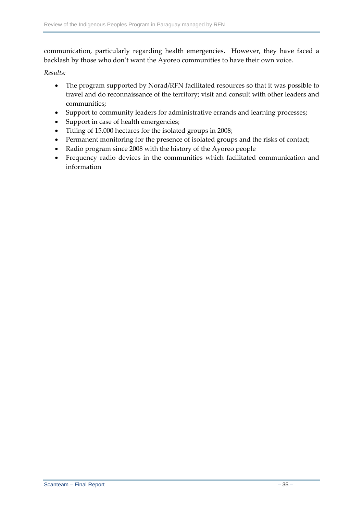communication, particularly regarding health emergencies. However, they have faced a backlash by those who don't want the Ayoreo communities to have their own voice.

*Results:*

- The program supported by Norad/RFN facilitated resources so that it was possible to travel and do reconnaissance of the territory; visit and consult with other leaders and communities;
- Support to community leaders for administrative errands and learning processes;
- Support in case of health emergencies;
- Titling of 15.000 hectares for the isolated groups in 2008;
- Permanent monitoring for the presence of isolated groups and the risks of contact;
- Radio program since 2008 with the history of the Ayoreo people
- Frequency radio devices in the communities which facilitated communication and information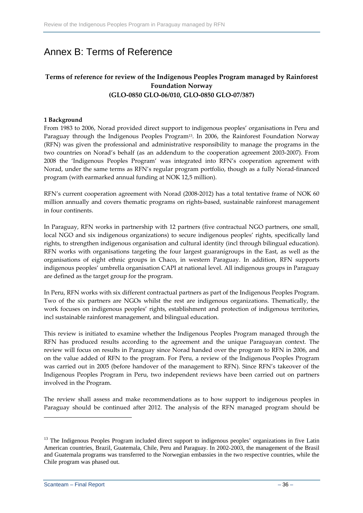# Annex B: Terms of Reference

#### **Terms of reference for review of the Indigenous Peoples Program managed by Rainforest Foundation Norway (GLO‐0850 GLO‐06/010, GLO‐0850 GLO‐07/387)**

#### **1 Background**

From 1983 to 2006, Norad provided direct support to indigenous peoples' organisations in Peru and Paraguay through the Indigenous Peoples Program<sup>13</sup>. In 2006, the Rainforest Foundation Norway (RFN) was given the professional and administrative responsibility to manage the programs in the two countries on Norad's behalf (as an addendum to the cooperation agreement 2003‐2007). From 2008 the 'Indigenous Peoples Program' was integrated into RFN's cooperation agreement with Norad, under the same terms as RFN's regular program portfolio, though as a fully Norad‐financed program (with earmarked annual funding at NOK 12,5 million).

RFN's current cooperation agreement with Norad (2008‐2012) has a total tentative frame of NOK 60 million annually and covers thematic programs on rights-based, sustainable rainforest management in four continents.

In Paraguay, RFN works in partnership with 12 partners (five contractual NGO partners, one small, local NGO and six indigenous organizations) to secure indigenous peoples' rights, specifically land rights, to strengthen indigenous organisation and cultural identity (incl through bilingual education). RFN works with organisations targeting the four largest guaranígroups in the East, as well as the organisations of eight ethnic groups in Chaco, in western Paraguay. In addition, RFN supports indigenous peoples' umbrella organisation CAPI at national level. All indigenous groups in Paraguay are defined as the target group for the program.

In Peru, RFN works with six different contractual partners as part of the Indigenous Peoples Program. Two of the six partners are NGOs whilst the rest are indigenous organizations. Thematically, the work focuses on indigenous peoples' rights, establishment and protection of indigenous territories, incl sustainable rainforest management, and bilingual education.

This review is initiated to examine whether the Indigenous Peoples Program managed through the RFN has produced results according to the agreement and the unique Paraguayan context. The review will focus on results in Paraguay since Norad handed over the program to RFN in 2006, and on the value added of RFN to the program. For Peru, a review of the Indigenous Peoples Program was carried out in 2005 (before handover of the management to RFN). Since RFN's takeover of the Indigenous Peoples Program in Peru, two independent reviews have been carried out on partners involved in the Program.

The review shall assess and make recommendations as to how support to indigenous peoples in Paraguay should be continued after 2012. The analysis of the RFN managed program should be

<sup>&</sup>lt;sup>13</sup> The Indigenous Peoples Program included direct support to indigenous peoples' organizations in five Latin American countries, Brazil, Guatemala, Chile, Peru and Paraguay. In 2002-2003, the management of the Brasil and Guatemala programs was transferred to the Norwegian embassies in the two respective countries, while the Chile program was phased out.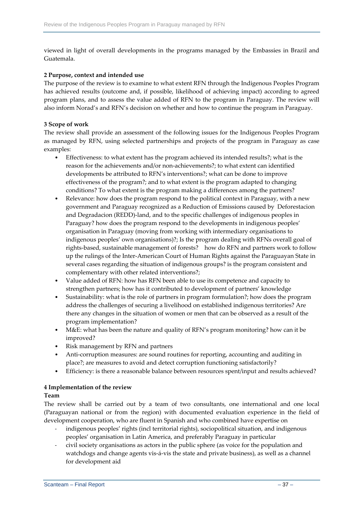viewed in light of overall developments in the programs managed by the Embassies in Brazil and Guatemala.

#### **2 Purpose, context and intended use**

The purpose of the review is to examine to what extent RFN through the Indigenous Peoples Program has achieved results (outcome and, if possible, likelihood of achieving impact) according to agreed program plans, and to assess the value added of RFN to the program in Paraguay. The review will also inform Norad's and RFN's decision on whether and how to continue the program in Paraguay.

#### **3 Scope of work**

The review shall provide an assessment of the following issues for the Indigenous Peoples Program as managed by RFN, using selected partnerships and projects of the program in Paraguay as case examples:

- Effectiveness: to what extent has the program achieved its intended results?; what is the reason for the achievements and/or non‐achievements?; to what extent can identified developments be attributed to RFN's interventions?; what can be done to improve effectiveness of the program?; and to what extent is the program adapted to changing conditions? To what extent is the program making a differences among the partners?
- Relevance: how does the program respond to the political context in Paraguay, with a new government and Paraguay recognized as a Reduction of Emissions caused by Deforestacion and Degradacion (REDD)‐land, and to the specific challenges of indigenous peoples in Paraguay? how does the program respond to the developments in indigenous peoples' organisation in Paraguay (moving from working with intermediary organisations to indigenous peoples' own organisations)?; Is the program dealing with RFNs overall goal of rights‐based, sustainable management of forests? how do RFN and partners work to follow up the rulings of the Inter‐American Court of Human Rights against the Paraguayan State in several cases regarding the situation of indigenous groups? is the program consistent and complementary with other related interventions?;
- Value added of RFN: how has RFN been able to use its competence and capacity to strengthen partners; how has it contributed to development of partners' knowledge
- Sustainability: what is the role of partners in program formulation?; how does the program address the challenges of securing a livelihood on established indigenous territories? Are there any changes in the situation of women or men that can be observed as a result of the program implementation?
- M&E: what has been the nature and quality of RFN's program monitoring? how can it be improved?
- Risk management by RFN and partners
- Anti-corruption measures: are sound routines for reporting, accounting and auditing in place?; are measures to avoid and detect corruption functioning satisfactorily?
- Efficiency: is there a reasonable balance between resources spent/input and results achieved?

#### **4 Implementation of the review**

#### **Team**

The review shall be carried out by a team of two consultants, one international and one local (Paraguayan national or from the region) with documented evaluation experience in the field of development cooperation, who are fluent in Spanish and who combined have expertise on

- ‐ indigenous peoples' rights (incl territorial rights), sociopolitical situation, and indigenous peoples' organisation in Latin America, and preferably Paraguay in particular
- ‐ civil society organisations as actors in the public sphere (as voice for the population and watchdogs and change agents vis‐á‐vis the state and private business), as well as a channel for development aid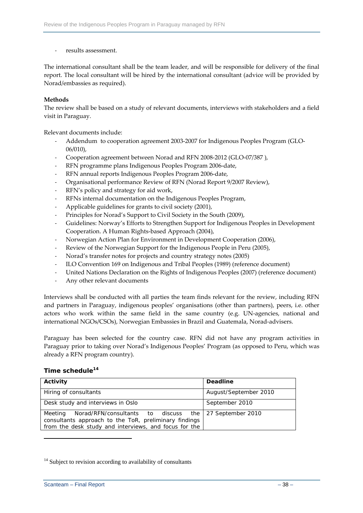‐ results assessment.

The international consultant shall be the team leader, and will be responsible for delivery of the final report. The local consultant will be hired by the international consultant (advice will be provided by Norad/embassies as required).

#### **Methods**

The review shall be based on a study of relevant documents, interviews with stakeholders and a field visit in Paraguay.

Relevant documents include:

- ‐ Addendum to cooperation agreement 2003‐2007 for Indigenous Peoples Program (GLO‐ 06/010),
- ‐ Cooperation agreement between Norad and RFN 2008‐2012 (GLO‐07/387 ),
- ‐ RFN programme plans Indigenous Peoples Program 2006‐date,
- ‐ RFN annual reports Indigenous Peoples Program 2006‐date,
- ‐ Organisational performance Review of RFN (Norad Report 9/2007 Review),
- ‐ RFN's policy and strategy for aid work,
- ‐ RFNs internal documentation on the Indigenous Peoples Program,
- ‐ Applicable guidelines for grants to civil society (2001),
- ‐ Principles for Norad's Support to Civil Society in the South (2009),
- ‐ Guidelines: Norway's Efforts to Strengthen Support for Indigenous Peoples in Development Cooperation. A Human Rights‐based Approach (2004),
- ‐ Norwegian Action Plan for Environment in Development Cooperation (2006),
- ‐ Review of the Norwegian Support for the Indigenous People in Peru (2005),
- ‐ Norad's transfer notes for projects and country strategy notes (2005)
- ‐ ILO Convention 169 on Indigenous and Tribal Peoples (1989) (reference document)
- ‐ United Nations Declaration on the Rights of Indigenous Peoples (2007) (reference document)
- ‐ Any other relevant documents

Interviews shall be conducted with all parties the team finds relevant for the review, including RFN and partners in Paraguay, indigenous peoples' organisations (other than partners), peers, i.e. other actors who work within the same field in the same country (e.g. UN‐agencies, national and international NGOs/CSOs), Norwegian Embassies in Brazil and Guatemala, Norad‐advisers.

Paraguay has been selected for the country case. RFN did not have any program activities in Paraguay prior to taking over Norad's Indigenous Peoples' Program (as opposed to Peru, which was already a RFN program country).

#### Time schedule<sup>14</sup>

| Activity                                                                                                                                                                           | <b>Deadline</b>       |
|------------------------------------------------------------------------------------------------------------------------------------------------------------------------------------|-----------------------|
| Hiring of consultants                                                                                                                                                              | August/September 2010 |
| Desk study and interviews in Oslo                                                                                                                                                  | September 2010        |
| Meeting Norad/RFN/consultants to discuss the   27 September 2010<br>consultants approach to the ToR, preliminary findings<br>from the desk study and interviews, and focus for the |                       |

<sup>&</sup>lt;sup>14</sup> Subject to revision according to availability of consultants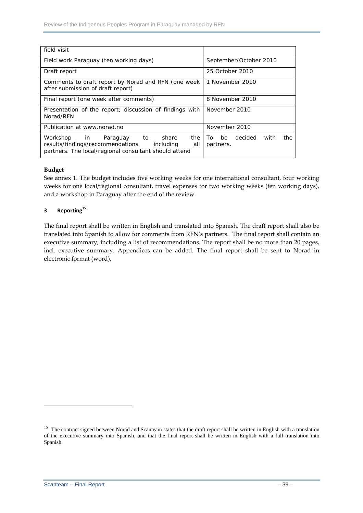| field visit                                                                                                                                                    |                                                 |
|----------------------------------------------------------------------------------------------------------------------------------------------------------------|-------------------------------------------------|
| Field work Paraguay (ten working days)                                                                                                                         | September/October 2010                          |
| Draft report                                                                                                                                                   | 25 October 2010                                 |
| Comments to draft report by Norad and RFN (one week<br>after submission of draft report)                                                                       | 1 November 2010                                 |
| Final report (one week after comments)                                                                                                                         | 8 November 2010                                 |
| Presentation of the report; discussion of findings with<br>Norad/RFN                                                                                           | November 2010                                   |
| Publication at www.norad.no                                                                                                                                    | November 2010                                   |
| to<br>Workshop in<br>the<br>Paraguay<br>share<br>results/findings/recommendations<br>including<br>all<br>partners. The local/regional consultant should attend | decided<br>the<br>be<br>with<br>To<br>partners. |

#### **Budget**

See annex 1. The budget includes five working weeks for one international consultant, four working weeks for one local/regional consultant, travel expenses for two working weeks (ten working days), and a workshop in Paraguay after the end of the review.

#### **3 Reporting15**

The final report shall be written in English and translated into Spanish. The draft report shall also be translated into Spanish to allow for comments from RFN's partners. The final report shall contain an executive summary, including a list of recommendations. The report shall be no more than 20 pages, incl. executive summary. Appendices can be added. The final report shall be sent to Norad in electronic format (word).

<u> 1989 - Johann Barn, mars ar breithinn ar chuid ann an t-</u>

<sup>&</sup>lt;sup>15</sup> The contract signed between Norad and Scanteam states that the draft report shall be written in English with a translation of the executive summary into Spanish, and that the final report shall be written in English with a full translation into Spanish.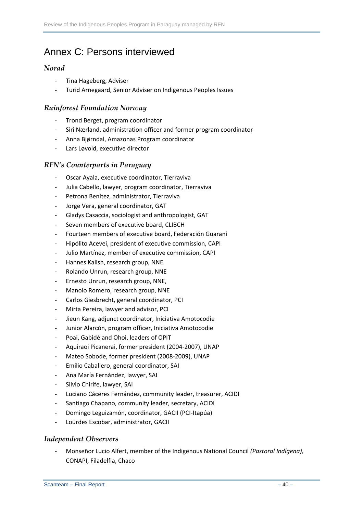# Annex C: Persons interviewed

#### *Norad*

- ‐ Tina Hageberg, Adviser
- ‐ Turid Arnegaard, Senior Adviser on Indigenous Peoples Issues

#### *Rainforest Foundation Norway*

- ‐ Trond Berget, program coordinator
- Siri Nærland, administration officer and former program coordinator
- ‐ Anna Bjørndal, Amazonas Program coordinator
- ‐ Lars Løvold, executive director

#### *RFN's Counterparts in Paraguay*

- ‐ Oscar Ayala, executive coordinator, Tierraviva
- ‐ Julia Cabello, lawyer, program coordinator, Tierraviva
- ‐ Petrona Benítez, administrator, Tierraviva
- ‐ Jorge Vera, general coordinator, GAT
- ‐ Gladys Casaccia, sociologist and anthropologist, GAT
- Seven members of executive board, CLIBCH
- ‐ Fourteen members of executive board, Federación Guaraní
- ‐ Hipólito Acevei, president of executive commission, CAPI
- ‐ Julio Martínez, member of executive commission, CAPI
- ‐ Hannes Kalish, research group, NNE
- ‐ Rolando Unrun, research group, NNE
- ‐ Ernesto Unrun, research group, NNE,
- ‐ Manolo Romero, research group, NNE
- ‐ Carlos Giesbrecht, general coordinator, PCI
- ‐ Mirta Pereira, lawyer and advisor, PCI
- ‐ Jieun Kang, adjunct coordinator, Iniciativa Amotocodie
- ‐ Junior Alarcón, program officer, Iniciativa Amotocodie
- ‐ Poai, Gabidé and Ohoi, leaders of OPIT
- ‐ Aquiraoi Picanerai, former president (2004‐2007), UNAP
- ‐ Mateo Sobode, former president (2008‐2009), UNAP
- ‐ Emilio Caballero, general coordinator, SAI
- ‐ Ana María Fernández, lawyer, SAI
- Silvio Chirife, lawyer, SAI
- ‐ Luciano Cáceres Fernández, community leader, treasurer, ACIDI
- Santiago Chapano, community leader, secretary, ACIDI
- ‐ Domingo Leguizamón, coordinator, GACII (PCI‐Itapúa)
- ‐ Lourdes Escobar, administrator, GACII

#### *Independent Observers*

‐ Monseñor Lucio Alfert, member of the Indigenous National Council *(Pastoral Indígena),* CONAPI, Filadelfia, Chaco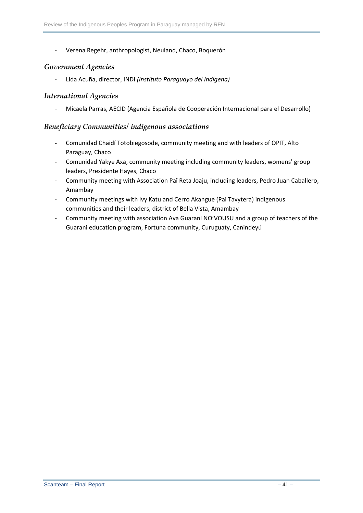‐ Verena Regehr, anthropologist, Neuland, Chaco, Boquerón

#### *Government Agencies*

‐ Lida Acuña, director, INDI *(Instituto Paraguayo del Indígena)*

#### *International Agencies*

‐ Micaela Parras, AECID (Agencia Española de Cooperación Internacional para el Desarrollo)

#### *Beneficiary Communities/ indigenous associations*

- ‐ Comunidad Chaidí Totobiegosode, community meeting and with leaders of OPIT, Alto Paraguay, Chaco
- ‐ Comunidad Yakye Axa, community meeting including community leaders, womens' group leaders, Presidente Hayes, Chaco
- ‐ Community meeting with Association Paî Reta Joaju, including leaders, Pedro Juan Caballero, Amambay
- ‐ Community meetings with Ivy Katu and Cerro Akangue (Pai Tavytera) indigenous communities and their leaders, district of Bella Vista, Amambay
- ‐ Community meeting with association Ava Guarani NO'VOUSU and a group of teachers of the Guarani education program, Fortuna community, Curuguaty, Canindeyú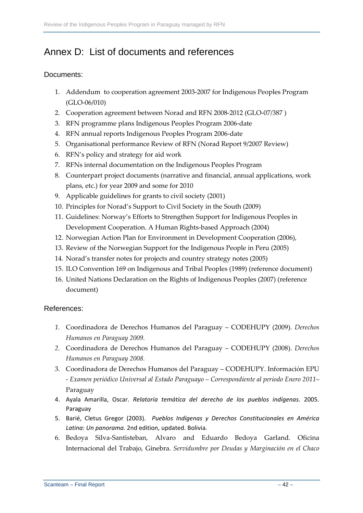# Annex D: List of documents and references

#### Documents:

- 1. Addendum to cooperation agreement 2003‐2007 for Indigenous Peoples Program (GLO‐06/010)
- 2. Cooperation agreement between Norad and RFN 2008‐2012 (GLO‐07/387 )
- 3. RFN programme plans Indigenous Peoples Program 2006‐date
- 4. RFN annual reports Indigenous Peoples Program 2006‐date
- 5. Organisational performance Review of RFN (Norad Report 9/2007 Review)
- 6. RFN's policy and strategy for aid work
- 7. RFNs internal documentation on the Indigenous Peoples Program
- 8. Counterpart project documents (narrative and financial, annual applications, work plans, etc.) for year 2009 and some for 2010
- 9. Applicable guidelines for grants to civil society (2001)
- 10. Principles for Norad's Support to Civil Society in the South (2009)
- 11. Guidelines: Norway's Efforts to Strengthen Support for Indigenous Peoples in Development Cooperation. A Human Rights‐based Approach (2004)
- 12. Norwegian Action Plan for Environment in Development Cooperation (2006),
- 13. Review of the Norwegian Support for the Indigenous People in Peru (2005)
- 14. Norad's transfer notes for projects and country strategy notes (2005)
- 15. ILO Convention 169 on Indigenous and Tribal Peoples (1989) (reference document)
- 16. United Nations Declaration on the Rights of Indigenous Peoples (2007) (reference document)

#### References:

- *1.* Coordinadora de Derechos Humanos del Paraguay CODEHUPY (2009). *Derechos Humanos en Paraguay 2009.*
- *2.* Coordinadora de Derechos Humanos del Paraguay CODEHUPY (2008). *Derechos Humanos en Paraguay 2008.*
- 3. Coordinadora de Derechos Humanos del Paraguay CODEHUPY. Información EPU ‐ *Examen periódico Universal al Estado Paraguayo – Correspondiente al periodo Enero 2011*– Paraguay
- 4. Ayala Amarilla, Oscar. *Relatoría temática del derecho de los pueblos indígenas*. 2005. Paraguay
- 5. Barié, Cletus Gregor (2003). *Pueblos Indígenas y Derechos Constitucionales en América Latina: Un panorama.* 2nd edition, updated. Bolivia.
- 6. Bedoya Silva‐Santisteban, Alvaro and Eduardo Bedoya Garland. Oficina Internacional del Trabajo, Ginebra. *Servidumbre por Deudas y Marginación en el Chaco*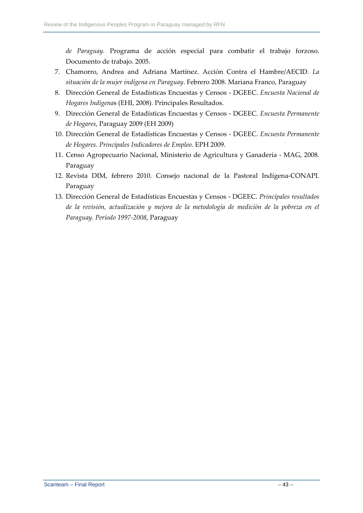*de Paraguay.* Programa de acción especial para combatir el trabajo forzoso. Documento de trabajo. 2005.

- 7. Chamorro, Andrea and Adriana Martínez. Acción Contra el Hambre/AECID*. La situación de la mujer indígena en Paraguay*. Febrero 2008. Mariana Franco, Paraguay
- 8. Dirección General de Estadísticas Encuestas y Censos ‐ DGEEC. *Encuesta Nacional de Hogares Indígena*s (EHI, 2008). Principales Resultados.
- 9. Dirección General de Estadísticas Encuestas y Censos ‐ DGEEC. *Encuesta Permanente de Hogares*, Paraguay 2009 (EH 2009)
- 10. Dirección General de Estadísticas Encuestas y Censos ‐ DGEEC. *Encuesta Permanente de Hogares. Principales Indicadores de Empleo*. EPH 2009.
- 11. Censo Agropecuario Nacional, Ministerio de Agricultura y Ganadería ‐ MAG, 2008. Paraguay
- 12. Revista DIM, febrero 2010. Consejo nacional de la Pastoral Indígena‐CONAPI. Paraguay
- 13. Dirección General de Estadísticas Encuestas y Censos ‐ DGEEC. *Principales resultados de la revisión, actualización y mejora de la metodología de medición de la pobreza en el Paraguay. Período 1997‐2008*, Paraguay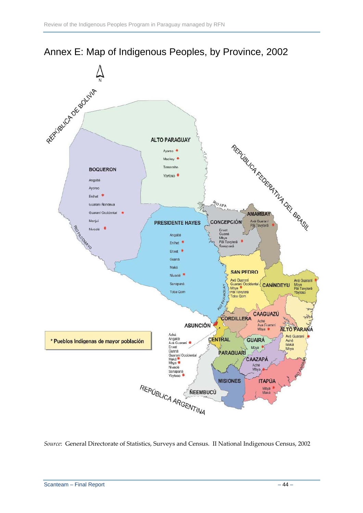



*Source*: General Directorate of Statistics, Surveys and Census. II National Indigenous Census, 2002